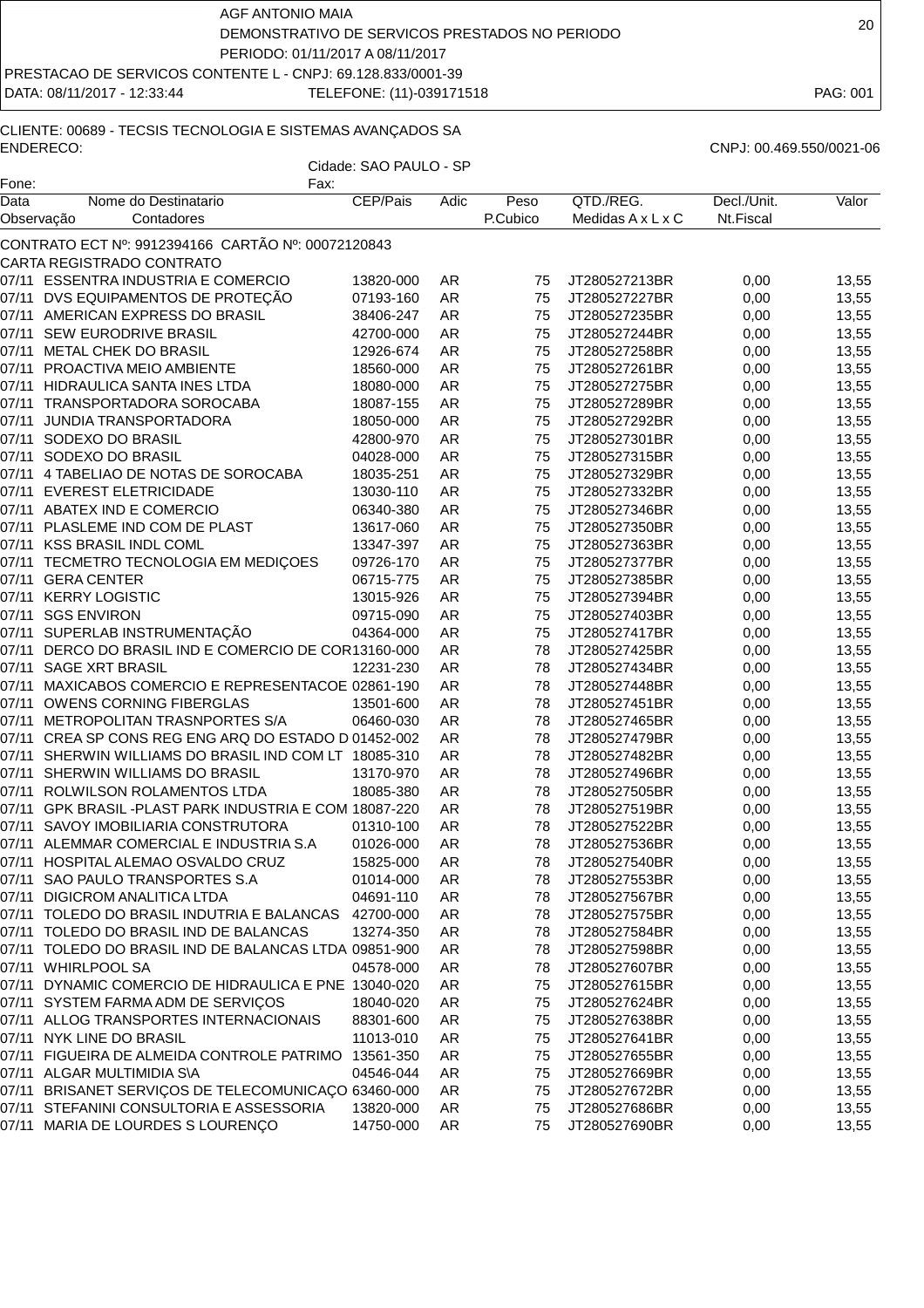DATA: 08/11/2017 - 12:33:44 TELEFONE: (11)-039171518 PAG: 001

# CLIENTE: 00689 - TECSIS TECNOLOGIA E SISTEMAS AVANÇADOS SA ENDERECO: CNPJ: 00.469.550/0021-06

| Fone:      | Fax:                                                  |           |           |          |                               |             |       |
|------------|-------------------------------------------------------|-----------|-----------|----------|-------------------------------|-------------|-------|
| Data       | Nome do Destinatario                                  | CEP/Pais  | Adic      | Peso     | QTD./REG.                     | Decl./Unit. | Valor |
| Observação | Contadores                                            |           |           | P.Cubico | Medidas $A \times L \times C$ | Nt.Fiscal   |       |
|            | CONTRATO ECT Nº: 9912394166 CARTÃO Nº: 00072120843    |           |           |          |                               |             |       |
|            | CARTA REGISTRADO CONTRATO                             |           |           |          |                               |             |       |
|            | 07/11 ESSENTRA INDUSTRIA E COMERCIO                   | 13820-000 | AR        | 75       | JT280527213BR                 | 0,00        | 13,55 |
| 07/11      | DVS EQUIPAMENTOS DE PROTEÇÃO                          | 07193-160 | AR        | 75       | JT280527227BR                 | 0,00        | 13,55 |
|            | 07/11 AMERICAN EXPRESS DO BRASIL                      | 38406-247 | <b>AR</b> | 75       | JT280527235BR                 | 0,00        | 13,55 |
| 07/11      | SEW EURODRIVE BRASIL                                  | 42700-000 | <b>AR</b> | 75       | JT280527244BR                 | 0,00        | 13,55 |
| 07/11      | METAL CHEK DO BRASIL                                  | 12926-674 | <b>AR</b> | 75       | JT280527258BR                 | 0,00        | 13,55 |
| 07/11      | PROACTIVA MEIO AMBIENTE                               | 18560-000 | AR        | 75       | JT280527261BR                 | 0,00        | 13,55 |
| 07/11      | HIDRAULICA SANTA INES LTDA                            | 18080-000 | AR        | 75       | JT280527275BR                 | 0,00        | 13,55 |
| 07/11      | TRANSPORTADORA SOROCABA                               | 18087-155 | <b>AR</b> | 75       | JT280527289BR                 | 0,00        | 13,55 |
| 07/11      | JUNDIA TRANSPORTADORA                                 | 18050-000 | <b>AR</b> | 75       | JT280527292BR                 | 0,00        | 13,55 |
| 07/11      | SODEXO DO BRASIL                                      | 42800-970 | <b>AR</b> | 75       | JT280527301BR                 | 0,00        | 13,55 |
| 07/11      | SODEXO DO BRASIL                                      | 04028-000 | <b>AR</b> | 75       | JT280527315BR                 | 0,00        | 13,55 |
| 07/11      | 4 TABELIAO DE NOTAS DE SOROCABA                       | 18035-251 | <b>AR</b> | 75       | JT280527329BR                 | 0,00        | 13,55 |
| 07/11      | <b>EVEREST ELETRICIDADE</b>                           | 13030-110 | <b>AR</b> | 75       | JT280527332BR                 | 0,00        | 13,55 |
| 07/11      | ABATEX IND E COMERCIO                                 | 06340-380 | <b>AR</b> | 75       | JT280527346BR                 | 0,00        | 13,55 |
| 07/11      | PLASLEME IND COM DE PLAST                             | 13617-060 | <b>AR</b> | 75       | JT280527350BR                 | 0,00        | 13,55 |
| 07/11      | <b>KSS BRASIL INDL COML</b>                           | 13347-397 | AR        | 75       | JT280527363BR                 | 0,00        | 13,55 |
| 07/11      | TECMETRO TECNOLOGIA EM MEDIÇOES                       | 09726-170 | <b>AR</b> | 75       | JT280527377BR                 | 0,00        | 13,55 |
| 07/11      | <b>GERA CENTER</b>                                    | 06715-775 | <b>AR</b> | 75       | JT280527385BR                 | 0,00        | 13,55 |
| 07/11      | <b>KERRY LOGISTIC</b>                                 | 13015-926 | <b>AR</b> | 75       | JT280527394BR                 | 0,00        | 13,55 |
| 07/11      | <b>SGS ENVIRON</b>                                    | 09715-090 | <b>AR</b> | 75       | JT280527403BR                 | 0,00        | 13,55 |
| 07/11      | SUPERLAB INSTRUMENTAÇÃO                               | 04364-000 | <b>AR</b> | 75       | JT280527417BR                 | 0,00        | 13,55 |
| 07/11      | DERCO DO BRASIL IND E COMERCIO DE COR13160-000        |           | <b>AR</b> | 78       | JT280527425BR                 | 0,00        | 13,55 |
| 07/11      | <b>SAGE XRT BRASIL</b>                                | 12231-230 | <b>AR</b> | 78       | JT280527434BR                 | 0,00        | 13,55 |
| 07/11      | MAXICABOS COMERCIO E REPRESENTACOE 02861-190          |           | AR        | 78       | JT280527448BR                 | 0,00        | 13,55 |
| 07/11      | OWENS CORNING FIBERGLAS                               | 13501-600 | AR        | 78       | JT280527451BR                 | 0,00        | 13,55 |
| 07/11      | METROPOLITAN TRASNPORTES S/A                          | 06460-030 | <b>AR</b> | 78       | JT280527465BR                 | 0,00        | 13,55 |
| 07/11      | CREA SP CONS REG ENG ARQ DO ESTADO D 01452-002        |           | <b>AR</b> | 78       | JT280527479BR                 | 0,00        | 13,55 |
| 07/11      | SHERWIN WILLIAMS DO BRASIL IND COM LT 18085-310       |           | <b>AR</b> | 78       | JT280527482BR                 | 0,00        | 13,55 |
| 07/11      | SHERWIN WILLIAMS DO BRASIL                            | 13170-970 | <b>AR</b> | 78       | JT280527496BR                 | 0,00        | 13,55 |
| 07/11      | ROLWILSON ROLAMENTOS LTDA                             | 18085-380 | <b>AR</b> | 78       | JT280527505BR                 | 0,00        | 13,55 |
| 07/11      | GPK BRASIL-PLAST PARK INDUSTRIA E COM 18087-220       |           | <b>AR</b> | 78       | JT280527519BR                 | 0,00        | 13,55 |
| 07/11      | SAVOY IMOBILIARIA CONSTRUTORA                         | 01310-100 | AR        | 78       | JT280527522BR                 | 0,00        | 13,55 |
| 07/11      | ALEMMAR COMERCIAL E INDUSTRIA S.A                     | 01026-000 | AR        | 78       | JT280527536BR                 | 0,00        | 13,55 |
|            | 07/11 HOSPITAL ALEMAO OSVALDO CRUZ                    | 15825-000 | AR        | 78       | JT280527540BR                 | 0,00        | 13,55 |
|            | 07/11 SAO PAULO TRANSPORTES S.A                       | 01014-000 | AR.       | 78       | JT280527553BR                 | 0,00        | 13,55 |
|            | 07/11 DIGICROM ANALITICA LTDA                         | 04691-110 | AR        | 78       | JT280527567BR                 | 0,00        | 13,55 |
|            | 07/11 TOLEDO DO BRASIL INDUTRIA E BALANCAS            | 42700-000 | AR        | 78       | JT280527575BR                 | 0,00        | 13,55 |
|            | 07/11 TOLEDO DO BRASIL IND DE BALANCAS                | 13274-350 | AR        | 78       | JT280527584BR                 | 0,00        | 13,55 |
|            | 07/11 TOLEDO DO BRASIL IND DE BALANCAS LTDA 09851-900 |           | AR        | 78       | JT280527598BR                 | 0,00        | 13,55 |
|            | 07/11 WHIRLPOOL SA                                    | 04578-000 | AR        | 78       | JT280527607BR                 | 0,00        | 13,55 |
| 07/11      | DYNAMIC COMERCIO DE HIDRAULICA E PNE 13040-020        |           | AR        | 75       | JT280527615BR                 | 0,00        | 13,55 |
|            | 07/11 SYSTEM FARMA ADM DE SERVIÇOS                    | 18040-020 | AR        | 75       | JT280527624BR                 | 0,00        | 13,55 |
|            | 07/11 ALLOG TRANSPORTES INTERNACIONAIS                | 88301-600 | AR        | 75       | JT280527638BR                 | 0,00        | 13,55 |
|            | 07/11 NYK LINE DO BRASIL                              | 11013-010 | AR        | 75       | JT280527641BR                 | 0,00        | 13,55 |
|            | 07/11 FIGUEIRA DE ALMEIDA CONTROLE PATRIMO            | 13561-350 | AR        | 75       | JT280527655BR                 | 0,00        | 13,55 |
|            | 07/11 ALGAR MULTIMIDIA S\A                            | 04546-044 | AR        | 75       | JT280527669BR                 | 0,00        | 13,55 |
|            | 07/11 BRISANET SERVIÇOS DE TELECOMUNICAÇO 63460-000   |           | AR        | 75       | JT280527672BR                 | 0,00        | 13,55 |
| 07/11      | STEFANINI CONSULTORIA E ASSESSORIA                    | 13820-000 | AR        | 75       | JT280527686BR                 | 0,00        | 13,55 |
|            | 07/11 MARIA DE LOURDES S LOURENÇO                     | 14750-000 | AR        | 75       | JT280527690BR                 | 0,00        | 13,55 |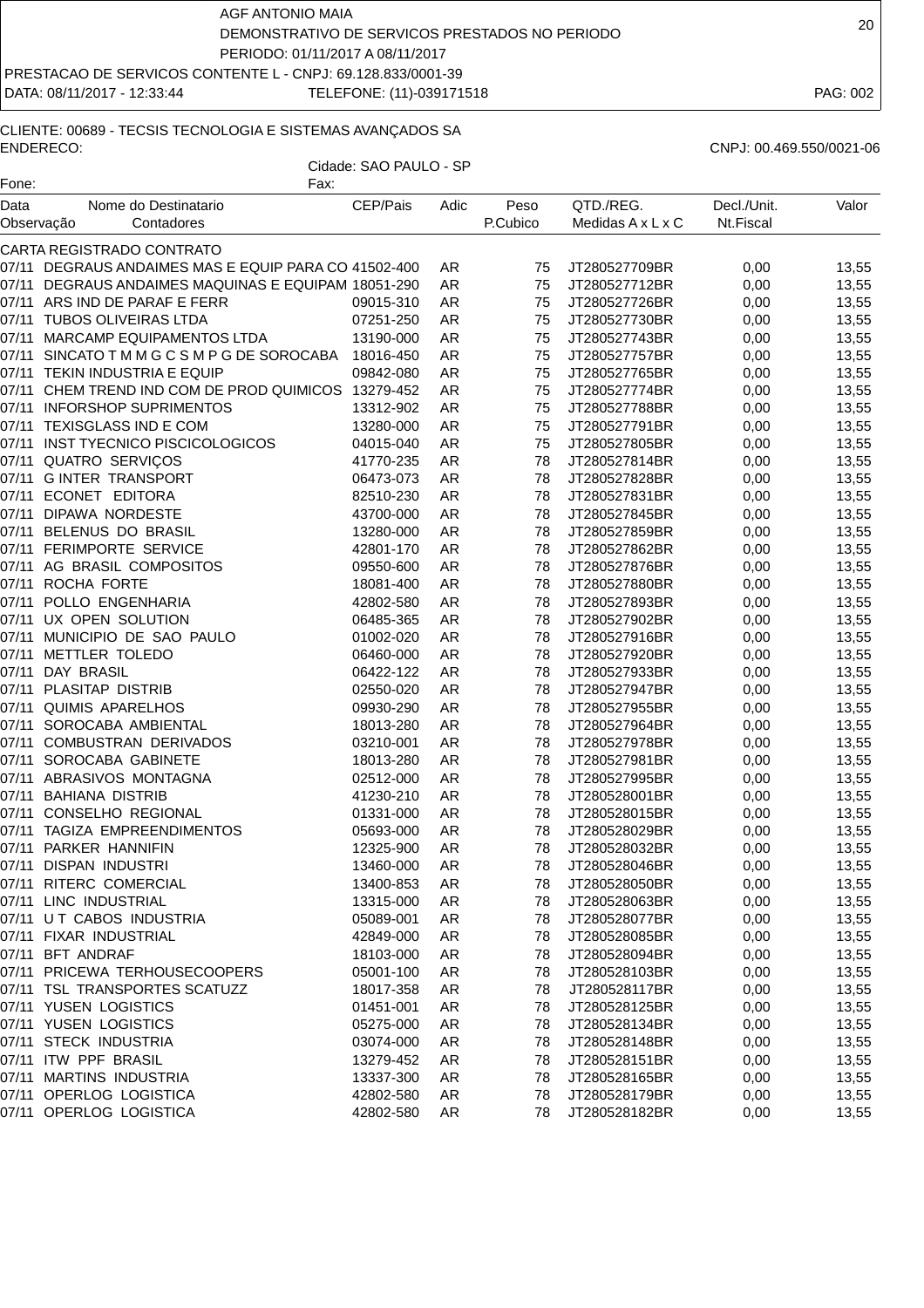DATA: 08/11/2017 - 12:33:44 TELEFONE: (11)-039171518 PAG: 002

# CLIENTE: 00689 - TECSIS TECNOLOGIA E SISTEMAS AVANÇADOS SA ENDERECO: CNPJ: 00.469.550/0021-06

Cidade: SAO PAULO - SP Fone: The Contract of the Contract of Tax:

| Data       | Nome do Destinatario                                  | CEP/Pais  | Adic      | Peso<br>P.Cubico | QTD./REG.         | Decl./Unit. | Valor |
|------------|-------------------------------------------------------|-----------|-----------|------------------|-------------------|-------------|-------|
| Observação | Contadores                                            |           |           |                  | Medidas A x L x C | Nt.Fiscal   |       |
|            | CARTA REGISTRADO CONTRATO                             |           |           |                  |                   |             |       |
|            | 07/11 DEGRAUS ANDAIMES MAS E EQUIP PARA CO 41502-400  |           | AR        | 75               | JT280527709BR     | 0,00        | 13,55 |
|            | 07/11 DEGRAUS ANDAIMES MAQUINAS E EQUIPAM 18051-290   |           | AR        | 75               | JT280527712BR     | 0,00        | 13,55 |
|            | 07/11 ARS IND DE PARAF E FERR                         | 09015-310 | AR        | 75               | JT280527726BR     | 0,00        | 13,55 |
|            | 07/11 TUBOS OLIVEIRAS LTDA                            | 07251-250 | AR        | 75               | JT280527730BR     | 0,00        | 13,55 |
| 07/11      | MARCAMP EQUIPAMENTOS LTDA                             | 13190-000 | AR        | 75               | JT280527743BR     | 0,00        | 13,55 |
|            | 07/11 SINCATO T M M G C S M P G DE SOROCABA 18016-450 |           | AR        | 75               | JT280527757BR     | 0,00        | 13,55 |
|            | 07/11 TEKIN INDUSTRIA E EQUIP                         | 09842-080 | AR        | 75               | JT280527765BR     | 0,00        | 13,55 |
|            | 07/11 CHEM TREND IND COM DE PROD QUIMICOS 13279-452   |           | AR        | 75               | JT280527774BR     | 0,00        | 13,55 |
|            | 07/11 INFORSHOP SUPRIMENTOS                           | 13312-902 | AR        | 75               | JT280527788BR     | 0,00        | 13,55 |
|            | 07/11 TEXISGLASS IND E COM                            | 13280-000 | AR        | 75               | JT280527791BR     | 0,00        | 13,55 |
|            | 07/11 INST TYECNICO PISCICOLOGICOS                    | 04015-040 | AR        | 75               | JT280527805BR     | 0,00        | 13,55 |
|            | 07/11 QUATRO SERVIÇOS                                 | 41770-235 | AR        | 78               | JT280527814BR     | 0,00        | 13,55 |
| 07/11      | <b>GINTER TRANSPORT</b>                               | 06473-073 | AR        | 78               | JT280527828BR     | 0,00        | 13,55 |
|            | 07/11 ECONET EDITORA                                  | 82510-230 | AR        | 78               | JT280527831BR     | 0,00        | 13,55 |
| 07/11      | <b>DIPAWA NORDESTE</b>                                | 43700-000 | AR        | 78               | JT280527845BR     | 0,00        | 13,55 |
|            | 07/11 BELENUS DO BRASIL                               | 13280-000 | AR        | 78               | JT280527859BR     | 0,00        | 13,55 |
|            | 07/11 FERIMPORTE SERVICE                              | 42801-170 | AR        | 78               | JT280527862BR     | 0,00        | 13,55 |
|            | 07/11 AG BRASIL COMPOSITOS                            | 09550-600 | AR        | 78               | JT280527876BR     | 0,00        | 13,55 |
|            | 07/11 ROCHA FORTE                                     | 18081-400 | AR        | 78               | JT280527880BR     | 0,00        | 13,55 |
|            | 07/11 POLLO ENGENHARIA                                | 42802-580 | AR        | 78               | JT280527893BR     | 0,00        | 13,55 |
|            | 07/11 UX OPEN SOLUTION                                | 06485-365 | AR        | 78               | JT280527902BR     | 0,00        | 13,55 |
| 07/11      | MUNICIPIO DE SAO PAULO                                | 01002-020 | AR        | 78               | JT280527916BR     | 0,00        | 13,55 |
| 07/11      | METTLER TOLEDO                                        | 06460-000 | AR        | 78               | JT280527920BR     | 0,00        | 13,55 |
|            | 07/11 DAY BRASIL                                      | 06422-122 | AR        | 78               | JT280527933BR     | 0,00        | 13,55 |
|            | 07/11 PLASITAP DISTRIB                                | 02550-020 | AR        | 78               | JT280527947BR     | 0,00        | 13,55 |
|            | 07/11 QUIMIS APARELHOS                                | 09930-290 | AR        | 78               | JT280527955BR     | 0,00        | 13,55 |
|            | 07/11 SOROCABA AMBIENTAL                              | 18013-280 | AR        | 78               | JT280527964BR     | 0,00        | 13,55 |
|            | 07/11 COMBUSTRAN DERIVADOS                            | 03210-001 | AR        | 78               | JT280527978BR     | 0,00        | 13,55 |
|            | 07/11 SOROCABA GABINETE                               | 18013-280 | AR        | 78               | JT280527981BR     | 0,00        | 13,55 |
|            | 07/11 ABRASIVOS MONTAGNA                              | 02512-000 | AR        | 78               | JT280527995BR     | 0,00        | 13,55 |
| 07/11      | <b>BAHIANA DISTRIB</b>                                | 41230-210 | AR        | 78               | JT280528001BR     | 0,00        | 13,55 |
| 07/11      | CONSELHO REGIONAL                                     | 01331-000 | AR        | 78               | JT280528015BR     | 0,00        | 13,55 |
| 07/11      | TAGIZA EMPREENDIMENTOS                                | 05693-000 | AR        | 78               | JT280528029BR     | 0,00        | 13,55 |
|            | 07/11 PARKER HANNIFIN                                 | 12325-900 | AR        | 78               | JT280528032BR     | 0,00        | 13,55 |
|            | 07/11 DISPAN INDUSTRI                                 | 13460-000 | AR        | 78               | JT280528046BR     | 0,00        | 13,55 |
|            | 07/11 RITERC COMERCIAL                                | 13400-853 | <b>AR</b> |                  | 78 JT280528050BR  | 0,00        | 13,55 |
|            | 07/11 LINC INDUSTRIAL                                 | 13315-000 | AR        | 78               | JT280528063BR     | 0,00        | 13,55 |
|            | 07/11 UT CABOS INDUSTRIA                              | 05089-001 | AR        | 78               | JT280528077BR     | 0,00        | 13,55 |
|            | 07/11 FIXAR INDUSTRIAL                                | 42849-000 | AR        | 78               | JT280528085BR     | 0,00        | 13,55 |
|            | 07/11 BFT ANDRAF                                      | 18103-000 | AR        | 78               | JT280528094BR     | 0,00        | 13,55 |
|            | 07/11 PRICEWA TERHOUSECOOPERS                         | 05001-100 | AR        | 78               | JT280528103BR     | 0,00        | 13,55 |
|            | 07/11 TSL TRANSPORTES SCATUZZ                         | 18017-358 | AR        | 78               | JT280528117BR     | 0,00        | 13,55 |
|            | 07/11 YUSEN LOGISTICS                                 | 01451-001 | AR        | 78               | JT280528125BR     | 0,00        | 13,55 |
|            | 07/11 YUSEN LOGISTICS                                 | 05275-000 | AR        | 78               | JT280528134BR     | 0,00        | 13,55 |
|            | 07/11 STECK INDUSTRIA                                 | 03074-000 | AR        | 78               | JT280528148BR     | 0,00        | 13,55 |
|            | 07/11 ITW PPF BRASIL                                  | 13279-452 | AR        | 78               | JT280528151BR     | 0,00        | 13,55 |
|            | 07/11 MARTINS INDUSTRIA                               | 13337-300 | AR        | 78               | JT280528165BR     | 0,00        | 13,55 |
|            | 07/11 OPERLOG LOGISTICA                               | 42802-580 | AR        | 78               | JT280528179BR     | 0,00        | 13,55 |
|            | 07/11 OPERLOG LOGISTICA                               | 42802-580 | AR        | 78               | JT280528182BR     | 0,00        | 13,55 |
|            |                                                       |           |           |                  |                   |             |       |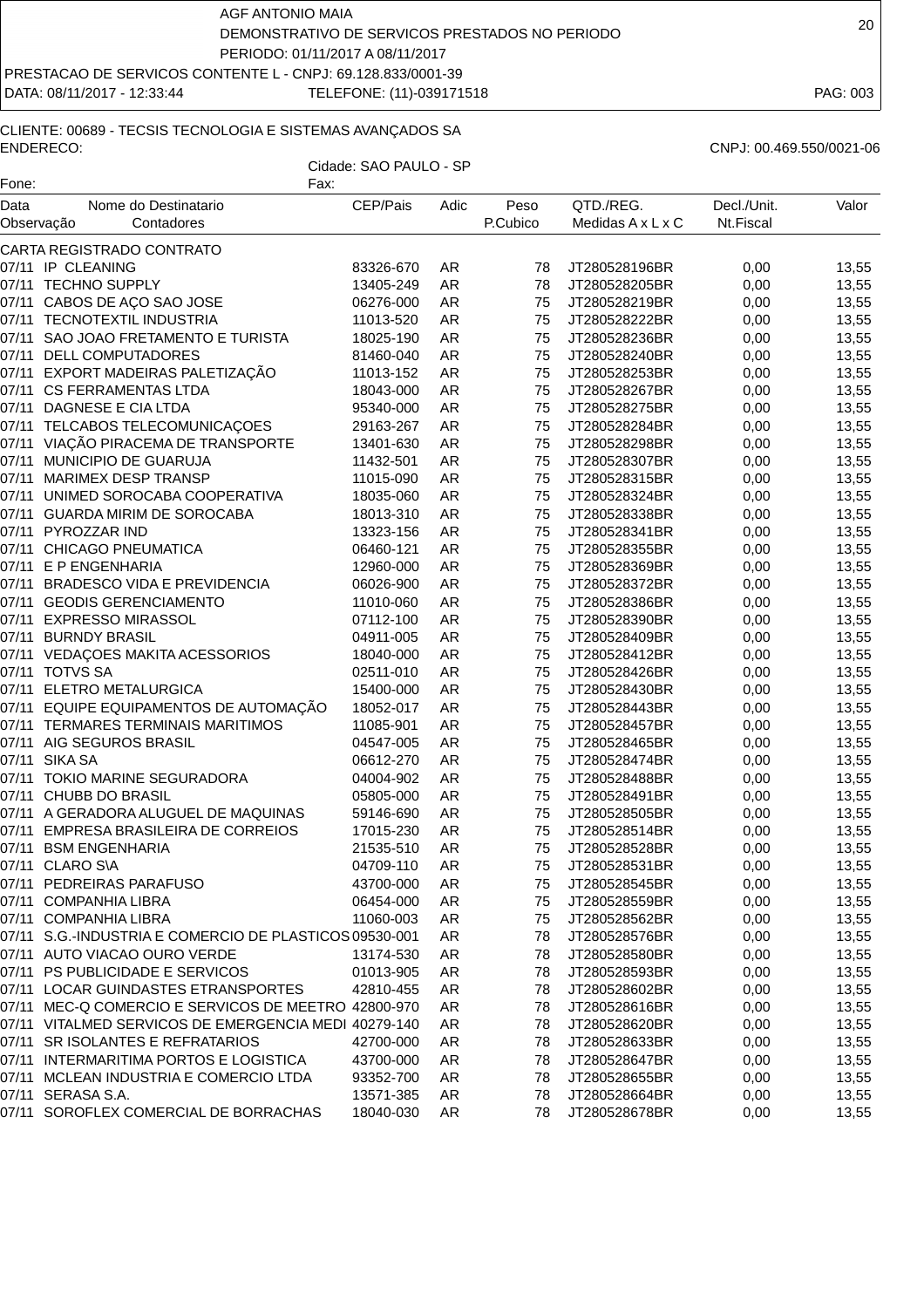DATA: 08/11/2017 - 12:33:44 TELEFONE: (11)-039171518 PAG: 003

# CLIENTE: 00689 - TECSIS TECNOLOGIA E SISTEMAS AVANÇADOS SA ENDERECO: CNPJ: 00.469.550/0021-06

| Fone:              | Fax:                                                   |           |           |                  |                                |                          |       |
|--------------------|--------------------------------------------------------|-----------|-----------|------------------|--------------------------------|--------------------------|-------|
| Data<br>Observação | Nome do Destinatario<br>Contadores                     | CEP/Pais  | Adic      | Peso<br>P.Cubico | QTD./REG.<br>Medidas A x L x C | Decl./Unit.<br>Nt.Fiscal | Valor |
|                    | CARTA REGISTRADO CONTRATO                              |           |           |                  |                                |                          |       |
|                    | 07/11 IP CLEANING                                      | 83326-670 | AR        | 78               | JT280528196BR                  | 0,00                     | 13,55 |
|                    | 07/11 TECHNO SUPPLY                                    | 13405-249 | AR        | 78               | JT280528205BR                  | 0,00                     | 13,55 |
| 07/11              | CABOS DE AÇO SAO JOSE                                  | 06276-000 | AR        | 75               | JT280528219BR                  | 0,00                     | 13,55 |
| 07/11              | TECNOTEXTIL INDUSTRIA                                  | 11013-520 | <b>AR</b> | 75               | JT280528222BR                  | 0,00                     | 13,55 |
| 07/11              | SAO JOAO FRETAMENTO E TURISTA                          | 18025-190 | <b>AR</b> | 75               | JT280528236BR                  | 0,00                     | 13,55 |
|                    | 07/11 DELL COMPUTADORES                                | 81460-040 | <b>AR</b> | 75               | JT280528240BR                  | 0,00                     | 13,55 |
|                    | 07/11 EXPORT MADEIRAS PALETIZAÇÃO                      | 11013-152 | <b>AR</b> | 75               | JT280528253BR                  | 0,00                     | 13,55 |
|                    | 07/11 CS FERRAMENTAS LTDA                              | 18043-000 | <b>AR</b> | 75               | JT280528267BR                  | 0,00                     | 13,55 |
|                    | 07/11 DAGNESE E CIA LTDA                               | 95340-000 | AR        | 75               | JT280528275BR                  | 0,00                     | 13,55 |
| 07/11              | TELCABOS TELECOMUNICAÇOES                              | 29163-267 | AR        | 75               | JT280528284BR                  | 0,00                     | 13,55 |
|                    | 07/11 VIAÇÃO PIRACEMA DE TRANSPORTE                    |           |           | 75               |                                |                          | 13,55 |
|                    | 07/11 MUNICIPIO DE GUARUJA                             | 13401-630 | AR        | 75               | JT280528298BR                  | 0,00                     |       |
|                    |                                                        | 11432-501 | <b>AR</b> |                  | JT280528307BR                  | 0,00                     | 13,55 |
| 07/11              | <b>MARIMEX DESP TRANSP</b>                             | 11015-090 | <b>AR</b> | 75               | JT280528315BR                  | 0,00                     | 13,55 |
| 07/11              | UNIMED SOROCABA COOPERATIVA                            | 18035-060 | <b>AR</b> | 75               | JT280528324BR                  | 0,00                     | 13,55 |
|                    | 07/11 GUARDA MIRIM DE SOROCABA                         | 18013-310 | <b>AR</b> | 75               | JT280528338BR                  | 0,00                     | 13,55 |
|                    | 07/11 PYROZZAR IND                                     | 13323-156 | <b>AR</b> | 75               | JT280528341BR                  | 0,00                     | 13,55 |
|                    | 07/11 CHICAGO PNEUMATICA                               | 06460-121 | AR        | 75               | JT280528355BR                  | 0,00                     | 13,55 |
|                    | 07/11 E P ENGENHARIA                                   | 12960-000 | <b>AR</b> | 75               | JT280528369BR                  | 0,00                     | 13,55 |
| 07/11              | <b>BRADESCO VIDA E PREVIDENCIA</b>                     | 06026-900 | <b>AR</b> | 75               | JT280528372BR                  | 0,00                     | 13,55 |
|                    | 07/11 GEODIS GERENCIAMENTO                             | 11010-060 | AR        | 75               | JT280528386BR                  | 0,00                     | 13,55 |
|                    | 07/11 EXPRESSO MIRASSOL                                | 07112-100 | AR        | 75               | JT280528390BR                  | 0,00                     | 13,55 |
| 07/11              | <b>BURNDY BRASIL</b>                                   | 04911-005 | <b>AR</b> | 75               | JT280528409BR                  | 0,00                     | 13,55 |
| 07/11              | VEDAÇOES MAKITA ACESSORIOS                             | 18040-000 | <b>AR</b> | 75               | JT280528412BR                  | 0,00                     | 13,55 |
|                    | 07/11 TOTVS SA                                         | 02511-010 | AR        | 75               | JT280528426BR                  | 0,00                     | 13,55 |
|                    | 07/11 ELETRO METALURGICA                               | 15400-000 | <b>AR</b> | 75               | JT280528430BR                  | 0,00                     | 13,55 |
|                    | 07/11 EQUIPE EQUIPAMENTOS DE AUTOMAÇÃO                 | 18052-017 | AR        | 75               | JT280528443BR                  | 0,00                     | 13,55 |
|                    | 07/11 TERMARES TERMINAIS MARITIMOS                     | 11085-901 | AR        | 75               | JT280528457BR                  | 0,00                     | 13,55 |
| 07/11              | AIG SEGUROS BRASIL                                     | 04547-005 | AR        | 75               | JT280528465BR                  | 0,00                     | 13,55 |
|                    | 07/11 SIKA SA                                          | 06612-270 | AR        | 75               | JT280528474BR                  | 0,00                     | 13,55 |
|                    | 07/11 TOKIO MARINE SEGURADORA                          | 04004-902 | AR        | 75               | JT280528488BR                  | 0,00                     | 13,55 |
|                    | 07/11 CHUBB DO BRASIL                                  | 05805-000 | <b>AR</b> | 75               | JT280528491BR                  | 0,00                     | 13,55 |
|                    | 07/11 A GERADORA ALUGUEL DE MAQUINAS                   | 59146-690 | <b>AR</b> | 75               | JT280528505BR                  | 0,00                     | 13,55 |
| 07/11              | EMPRESA BRASILEIRA DE CORREIOS                         | 17015-230 | <b>AR</b> | 75               | JT280528514BR                  | 0,00                     | 13,55 |
|                    | 07/11 BSM ENGENHARIA                                   | 21535-510 | AR        | 75               | JT280528528BR                  | 0,00                     | 13,55 |
|                    | 07/11 CLARO S\A                                        | 04709-110 | <b>AR</b> | 75               | JT280528531BR                  | 0,00                     | 13,55 |
|                    | 07/11 PEDREIRAS PARAFUSO                               | 43700-000 | AR        | 75               | JT280528545BR                  | 0,00                     | 13,55 |
|                    | 07/11 COMPANHIA LIBRA                                  | 06454-000 | AR        | 75               | JT280528559BR                  | 0,00                     | 13,55 |
|                    | 07/11 COMPANHIA LIBRA                                  | 11060-003 | AR        | 75               | JT280528562BR                  | 0,00                     | 13,55 |
|                    | 07/11 S.G.-INDUSTRIA E COMERCIO DE PLASTICOS 09530-001 |           | AR        | 78               | JT280528576BR                  | 0,00                     | 13,55 |
|                    | 07/11 AUTO VIACAO OURO VERDE                           | 13174-530 | AR        | 78               | JT280528580BR                  | 0,00                     | 13,55 |
|                    | 07/11 PS PUBLICIDADE E SERVICOS                        | 01013-905 | AR        | 78               | JT280528593BR                  | 0,00                     | 13,55 |
|                    | 07/11 LOCAR GUINDASTES ETRANSPORTES                    | 42810-455 | AR        | 78               | JT280528602BR                  | 0,00                     | 13,55 |
|                    | 07/11 MEC-Q COMERCIO E SERVICOS DE MEETRO 42800-970    |           | AR        | 78               | JT280528616BR                  | 0,00                     | 13,55 |
|                    | 07/11 VITALMED SERVICOS DE EMERGENCIA MEDI 40279-140   |           | AR        | 78               | JT280528620BR                  | 0,00                     | 13,55 |
|                    | 07/11 SR ISOLANTES E REFRATARIOS                       | 42700-000 | AR        | 78               | JT280528633BR                  | 0,00                     | 13,55 |
|                    | 07/11 INTERMARITIMA PORTOS E LOGISTICA                 | 43700-000 | AR        | 78               | JT280528647BR                  | 0,00                     | 13,55 |
|                    | 07/11 MCLEAN INDUSTRIA E COMERCIO LTDA                 | 93352-700 | AR        | 78               | JT280528655BR                  | 0,00                     | 13,55 |
|                    | 07/11 SERASA S.A.                                      | 13571-385 | AR        | 78               | JT280528664BR                  | 0,00                     | 13,55 |
|                    | 07/11 SOROFLEX COMERCIAL DE BORRACHAS                  | 18040-030 | AR        | 78               | JT280528678BR                  | 0,00                     | 13,55 |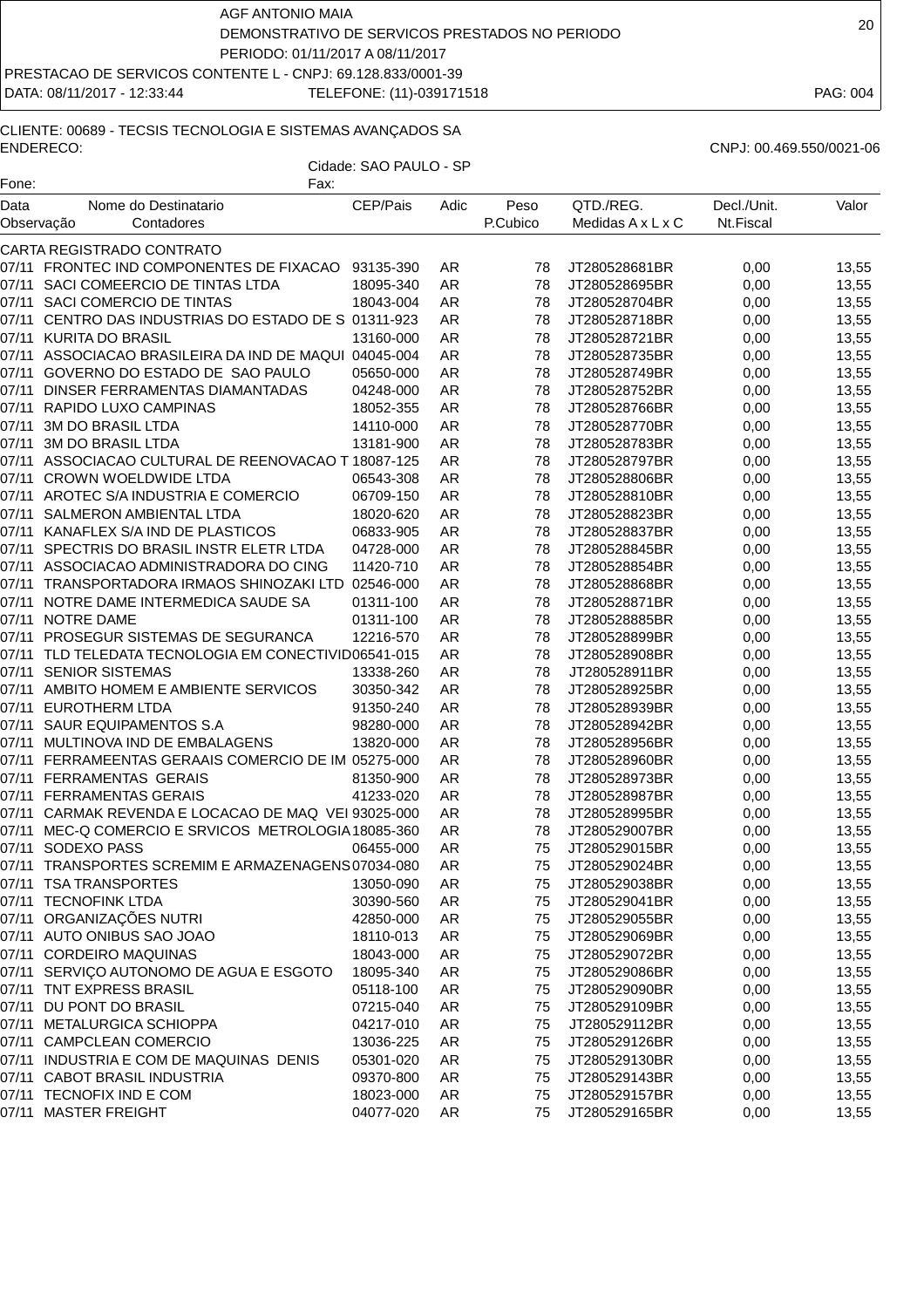AGF ANTONIO MAIA DEMONSTRATIVO DE SERVICOS PRESTADOS NO PERIODO PERIODO: 01/11/2017 A 08/11/2017

DATA: 08/11/2017 - 12:33:44 TELEFONE: (11)-039171518 PAG: 004

#### CLIENTE: 00689 - TECSIS TECNOLOGIA E SISTEMAS AVANÇADOS SA ENDERECO: CNPJ: 00.469.550/0021-06

| Fone:      | Fax:                                                                                         | Cidade: SAO PAULO - SP |           |          |                                |              |       |
|------------|----------------------------------------------------------------------------------------------|------------------------|-----------|----------|--------------------------------|--------------|-------|
| Data       | Nome do Destinatario                                                                         | CEP/Pais               | Adic      | Peso     | QTD./REG.                      | Decl./Unit.  | Valor |
| Observação | Contadores                                                                                   |                        |           | P.Cubico | Medidas A x L x C              | Nt.Fiscal    |       |
|            | CARTA REGISTRADO CONTRATO                                                                    |                        |           |          |                                |              |       |
|            | 07/11 FRONTEC IND COMPONENTES DE FIXACAO                                                     | 93135-390              | AR        | 78       | JT280528681BR                  | 0,00         | 13,55 |
|            | 07/11 SACI COMEERCIO DE TINTAS LTDA                                                          | 18095-340              | AR        | 78       | JT280528695BR                  | 0,00         | 13,55 |
|            | 07/11 SACI COMERCIO DE TINTAS                                                                | 18043-004              | AR        | 78       | JT280528704BR                  | 0,00         | 13,55 |
|            | 07/11 CENTRO DAS INDUSTRIAS DO ESTADO DE S 01311-923                                         |                        | AR        | 78       | JT280528718BR                  | 0,00         | 13,55 |
|            | 07/11 KURITA DO BRASIL                                                                       | 13160-000              | AR        | 78       | JT280528721BR                  | 0,00         | 13,55 |
| 07/11      | ASSOCIACAO BRASILEIRA DA IND DE MAQUI 04045-004                                              |                        | <b>AR</b> | 78       | JT280528735BR                  | 0,00         | 13,55 |
|            | 07/11 GOVERNO DO ESTADO DE SAO PAULO                                                         | 05650-000              | AR        | 78       | JT280528749BR                  | 0,00         | 13,55 |
|            | 07/11 DINSER FERRAMENTAS DIAMANTADAS                                                         | 04248-000              | AR        | 78       | JT280528752BR                  | 0,00         | 13,55 |
|            | 07/11 RAPIDO LUXO CAMPINAS                                                                   | 18052-355              | <b>AR</b> | 78       | JT280528766BR                  | 0,00         | 13,55 |
| 07/11      | 3M DO BRASIL LTDA                                                                            | 14110-000              | AR        | 78       | JT280528770BR                  | 0,00         | 13,55 |
| 07/11      | 3M DO BRASIL LTDA                                                                            | 13181-900              | AR        | 78       | JT280528783BR                  | 0,00         | 13,55 |
|            | 07/11 ASSOCIACAO CULTURAL DE REENOVACAO T 18087-125                                          |                        | AR        | 78       | JT280528797BR                  | 0,00         | 13,55 |
|            | 07/11 CROWN WOELDWIDE LTDA                                                                   | 06543-308              | AR        | 78       | JT280528806BR                  | 0,00         | 13,55 |
|            | 07/11 AROTEC S/A INDUSTRIA E COMERCIO                                                        | 06709-150              | AR        | 78       | JT280528810BR                  | 0,00         | 13,55 |
| 07/11      | SALMERON AMBIENTAL LTDA                                                                      | 18020-620              | <b>AR</b> | 78       | JT280528823BR                  | 0,00         | 13,55 |
|            | 07/11 KANAFLEX S/A IND DE PLASTICOS                                                          | 06833-905              | <b>AR</b> | 78       | JT280528837BR                  | 0,00         | 13,55 |
|            | 07/11 SPECTRIS DO BRASIL INSTR ELETR LTDA                                                    | 04728-000              | AR        | 78       | JT280528845BR                  | 0,00         | 13,55 |
|            | 07/11 ASSOCIACAO ADMINISTRADORA DO CING                                                      | 11420-710              | AR        | 78       | JT280528854BR                  | 0,00         | 13,55 |
|            | 07/11 TRANSPORTADORA IRMAOS SHINOZAKI LTD 02546-000                                          |                        | AR        | 78       | JT280528868BR                  |              | 13,55 |
| 07/11      | NOTRE DAME INTERMEDICA SAUDE SA                                                              | 01311-100              | AR        | 78       |                                | 0,00<br>0,00 | 13,55 |
|            | 07/11 NOTRE DAME                                                                             | 01311-100              |           | 78       | JT280528871BR                  |              |       |
|            |                                                                                              |                        | AR        |          | JT280528885BR                  | 0,00         | 13,55 |
|            | 07/11 PROSEGUR SISTEMAS DE SEGURANCA<br>07/11 TLD TELEDATA TECNOLOGIA EM CONECTIVID06541-015 | 12216-570              | AR<br>AR  | 78<br>78 | JT280528899BR<br>JT280528908BR | 0,00         | 13,55 |
|            |                                                                                              |                        |           |          |                                | 0,00         | 13,55 |
| 07/11      | <b>SENIOR SISTEMAS</b>                                                                       | 13338-260              | <b>AR</b> | 78       | JT280528911BR                  | 0,00         | 13,55 |
| 07/11      | AMBITO HOMEM E AMBIENTE SERVICOS                                                             | 30350-342              | <b>AR</b> | 78       | JT280528925BR                  | 0,00         | 13,55 |
|            | 07/11 EUROTHERM LTDA                                                                         | 91350-240              | AR        | 78       | JT280528939BR                  | 0,00         | 13,55 |
|            | 07/11 SAUR EQUIPAMENTOS S.A                                                                  | 98280-000              | AR        | 78       | JT280528942BR                  | 0,00         | 13,55 |
|            | 07/11 MULTINOVA IND DE EMBALAGENS                                                            | 13820-000              | AR        | 78       | JT280528956BR                  | 0,00         | 13,55 |
|            | 07/11 FERRAMEENTAS GERAAIS COMERCIO DE IM 05275-000<br>07/11 FERRAMENTAS GERAIS              |                        | AR        | 78       | JT280528960BR                  | 0,00         | 13,55 |
|            |                                                                                              | 81350-900              | AR        | 78       | JT280528973BR                  | 0,00         | 13,55 |
|            | 07/11 FERRAMENTAS GERAIS                                                                     | 41233-020              | AR        | 78       | JT280528987BR                  | 0,00         | 13,55 |
|            | 07/11 CARMAK REVENDA E LOCACAO DE MAQ VEI 93025-000                                          |                        | AR        | 78       | JT280528995BR                  | 0,00         | 13,55 |
|            | 07/11 MEC-Q COMERCIO E SRVICOS METROLOGIA 18085-360                                          |                        | AR        | 78       | JT280529007BR                  | 0,00         | 13,55 |
|            | 07/11 SODEXO PASS                                                                            | 06455-000              | <b>AR</b> | 75       | JT280529015BR                  | 0,00         | 13,55 |
|            | 07/11 TRANSPORTES SCREMIM E ARMAZENAGENS07034-080                                            |                        | AR        | 75       | JT280529024BR                  | 0,00         | 13,55 |
|            | 07/11 TSA TRANSPORTES                                                                        | 13050-090              | AR        | 75       | JT280529038BR                  | 0,00         | 13,55 |
|            | 07/11 TECNOFINK LTDA                                                                         | 30390-560              | AR        | 75       | JT280529041BR                  | 0,00         | 13,55 |
|            | 07/11   ORGANIZAÇÕES NUTRI                                                                   | 42850-000              | AR        | 75       | JT280529055BR                  | 0,00         | 13,55 |
|            | 07/11 AUTO ONIBUS SAO JOAO                                                                   | 18110-013              | AR        | 75       | JT280529069BR                  | 0,00         | 13,55 |
|            | 07/11 CORDEIRO MAQUINAS                                                                      | 18043-000              | AR        | 75       | JT280529072BR                  | 0,00         | 13,55 |
|            | 07/11 SERVIÇO AUTONOMO DE AGUA E ESGOTO                                                      | 18095-340              | AR        | 75       | JT280529086BR                  | 0,00         | 13,55 |
|            | 07/11 TNT EXPRESS BRASIL                                                                     | 05118-100              | AR        | 75       | JT280529090BR                  | 0,00         | 13,55 |
|            | 07/11 DU PONT DO BRASIL                                                                      | 07215-040              | AR        | 75       | JT280529109BR                  | 0,00         | 13,55 |
|            | 07/11 METALURGICA SCHIOPPA                                                                   | 04217-010              | AR        | 75       | JT280529112BR                  | 0,00         | 13,55 |
|            | 07/11 CAMPCLEAN COMERCIO                                                                     | 13036-225              | AR        | 75       | JT280529126BR                  | 0,00         | 13,55 |
|            | 07/11 INDUSTRIA E COM DE MAQUINAS DENIS                                                      | 05301-020              | AR        | 75       | JT280529130BR                  | 0,00         | 13,55 |
|            | 07/11 CABOT BRASIL INDUSTRIA                                                                 | 09370-800              | AR        | 75       | JT280529143BR                  | 0,00         | 13,55 |
|            | 07/11 TECNOFIX IND E COM                                                                     | 18023-000              | AR        | 75       | JT280529157BR                  | 0,00         | 13,55 |
|            | 07/11 MASTER FREIGHT                                                                         | 04077-020              | AR        | 75       | JT280529165BR                  | 0,00         | 13,55 |

20

# PRESTACAO DE SERVICOS CONTENTE L - CNPJ: 69.128.833/0001-39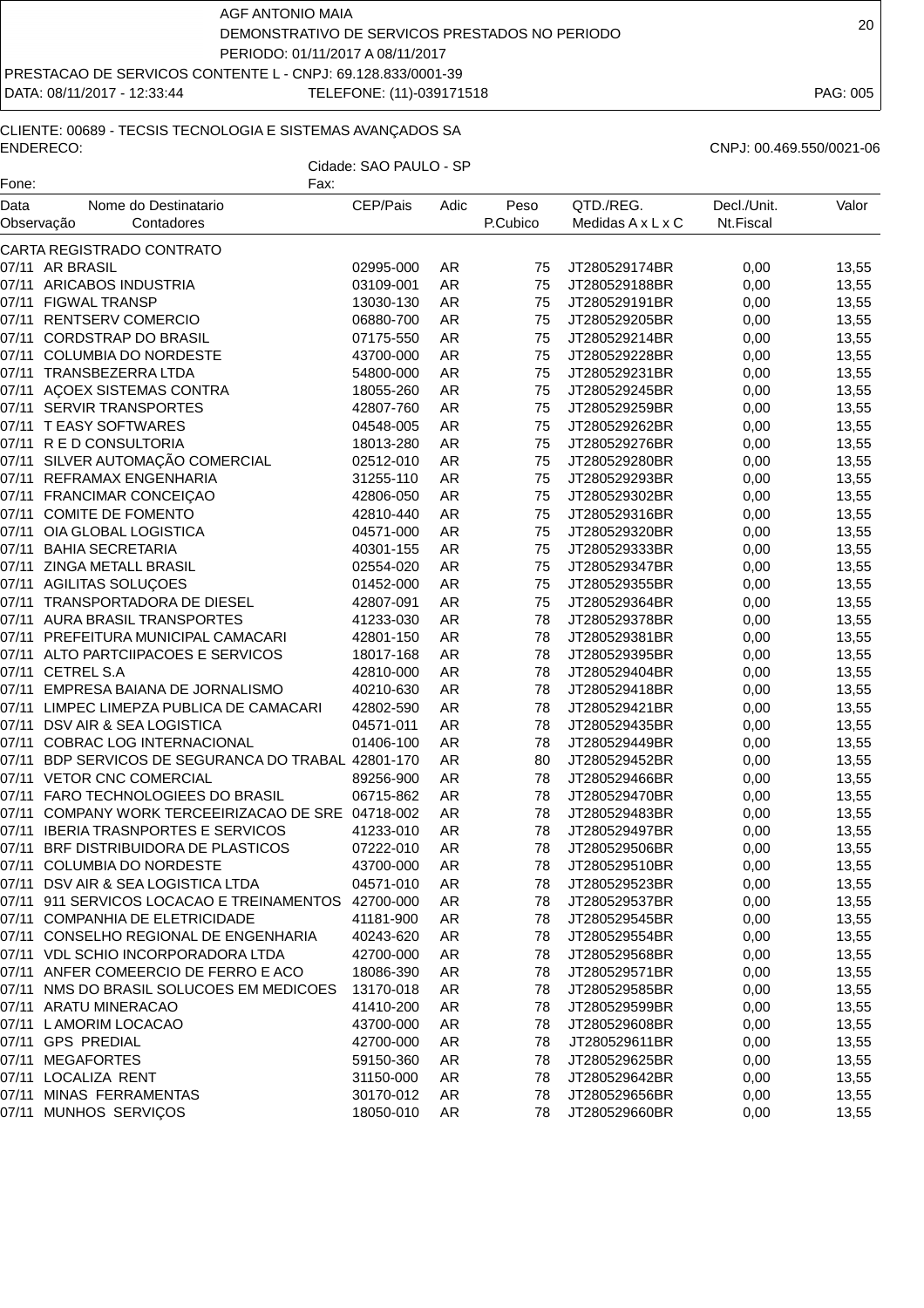DATA: 08/11/2017 - 12:33:44 TELEFONE: (11)-039171518 PAG: 005

# CLIENTE: 00689 - TECSIS TECNOLOGIA E SISTEMAS AVANÇADOS SA ENDERECO: CNPJ: 00.469.550/0021-06

| Fone: | Fax:                                                |           |           |          |                   |             |       |
|-------|-----------------------------------------------------|-----------|-----------|----------|-------------------|-------------|-------|
| Data  | Nome do Destinatario                                | CEP/Pais  | Adic      | Peso     | QTD./REG.         | Decl./Unit. | Valor |
|       | Observação<br>Contadores                            |           |           | P.Cubico | Medidas A x L x C | Nt.Fiscal   |       |
|       | CARTA REGISTRADO CONTRATO                           |           |           |          |                   |             |       |
|       | 07/11 AR BRASIL                                     | 02995-000 | AR        | 75       | JT280529174BR     | 0,00        | 13,55 |
|       | 07/11 ARICABOS INDUSTRIA                            | 03109-001 | <b>AR</b> | 75       | JT280529188BR     | 0,00        | 13,55 |
|       | 07/11 FIGWAL TRANSP                                 | 13030-130 | AR        | 75       | JT280529191BR     | 0,00        | 13,55 |
|       | 07/11 RENTSERV COMERCIO                             | 06880-700 | AR        | 75       | JT280529205BR     | 0,00        | 13,55 |
|       | 07/11 CORDSTRAP DO BRASIL                           | 07175-550 | AR        | 75       | JT280529214BR     | 0,00        | 13,55 |
|       | 07/11 COLUMBIA DO NORDESTE                          | 43700-000 | <b>AR</b> | 75       | JT280529228BR     | 0,00        | 13,55 |
|       | 07/11 TRANSBEZERRA LTDA                             | 54800-000 | AR        | 75       | JT280529231BR     | 0,00        | 13,55 |
|       | 07/11 AÇOEX SISTEMAS CONTRA                         | 18055-260 | AR        | 75       | JT280529245BR     | 0,00        | 13,55 |
|       | 07/11 SERVIR TRANSPORTES                            | 42807-760 | AR        | 75       | JT280529259BR     | 0,00        | 13,55 |
|       | 07/11 TEASY SOFTWARES                               | 04548-005 | <b>AR</b> | 75       | JT280529262BR     | 0,00        | 13,55 |
|       | 07/11 R E D CONSULTORIA                             | 18013-280 | <b>AR</b> | 75       | JT280529276BR     | 0,00        | 13,55 |
|       | 07/11 SILVER AUTOMAÇÃO COMERCIAL                    | 02512-010 | <b>AR</b> | 75       | JT280529280BR     | 0,00        | 13,55 |
|       | 07/11 REFRAMAX ENGENHARIA                           | 31255-110 | AR        | 75       | JT280529293BR     | 0,00        | 13,55 |
|       | 07/11 FRANCIMAR CONCEIÇAO                           | 42806-050 | <b>AR</b> | 75       | JT280529302BR     | 0,00        | 13,55 |
|       | 07/11 COMITE DE FOMENTO                             | 42810-440 | <b>AR</b> | 75       | JT280529316BR     | 0,00        | 13,55 |
|       | 07/11 OIA GLOBAL LOGISTICA                          | 04571-000 | AR        | 75       | JT280529320BR     | 0,00        | 13,55 |
|       | 07/11 BAHIA SECRETARIA                              | 40301-155 | AR        | 75       | JT280529333BR     | 0,00        | 13,55 |
| 07/11 | ZINGA METALL BRASIL                                 | 02554-020 | <b>AR</b> | 75       | JT280529347BR     | 0,00        | 13,55 |
|       | 07/11 AGILITAS SOLUÇOES                             | 01452-000 | <b>AR</b> | 75       | JT280529355BR     | 0,00        | 13,55 |
|       | 07/11 TRANSPORTADORA DE DIESEL                      | 42807-091 | <b>AR</b> | 75       | JT280529364BR     | 0,00        | 13,55 |
|       | 07/11 AURA BRASIL TRANSPORTES                       | 41233-030 | <b>AR</b> | 78       | JT280529378BR     | 0,00        | 13,55 |
|       | 07/11 PREFEITURA MUNICIPAL CAMACARI                 | 42801-150 | AR        | 78       | JT280529381BR     | 0,00        | 13,55 |
|       | 07/11 ALTO PARTCIIPACOES E SERVICOS                 | 18017-168 | <b>AR</b> | 78       | JT280529395BR     | 0,00        | 13,55 |
|       | 07/11 CETREL S.A                                    | 42810-000 | AR        | 78       | JT280529404BR     | 0,00        | 13,55 |
|       | 07/11 EMPRESA BAIANA DE JORNALISMO                  | 40210-630 | AR        | 78       | JT280529418BR     | 0,00        | 13,55 |
|       | 07/11 LIMPEC LIMEPZA PUBLICA DE CAMACARI            | 42802-590 | AR        | 78       | JT280529421BR     | 0,00        | 13,55 |
|       | 07/11 DSV AIR & SEA LOGISTICA                       | 04571-011 | <b>AR</b> | 78       | JT280529435BR     | 0,00        | 13,55 |
| 07/11 | COBRAC LOG INTERNACIONAL                            | 01406-100 | <b>AR</b> | 78       | JT280529449BR     | 0,00        | 13,55 |
|       | 07/11 BDP SERVICOS DE SEGURANCA DO TRABAL 42801-170 |           | <b>AR</b> | 80       | JT280529452BR     | 0,00        | 13,55 |
|       | 07/11 VETOR CNC COMERCIAL                           | 89256-900 | AR        | 78       | JT280529466BR     | 0,00        | 13,55 |
|       | 07/11 FARO TECHNOLOGIEES DO BRASIL                  | 06715-862 | AR        | 78       | JT280529470BR     | 0,00        | 13,55 |
|       | 07/11 COMPANY WORK TERCEEIRIZACAO DE SRE 04718-002  |           | AR        | 78       | JT280529483BR     | 0,00        | 13,55 |
|       | 07/11 IBERIA TRASNPORTES E SERVICOS                 | 41233-010 | <b>AR</b> | 78       | JT280529497BR     | 0,00        | 13,55 |
|       | 07/11 BRF DISTRIBUIDORA DE PLASTICOS                | 07222-010 | AR        | 78       | JT280529506BR     | 0,00        | 13,55 |
|       | 07/11 COLUMBIA DO NORDESTE                          | 43700-000 | AR        | 78       | JT280529510BR     | 0,00        | 13,55 |
|       | 07/11 DSV AIR & SEA LOGISTICA LTDA                  | 04571-010 | AR        | 78       | JT280529523BR     | 0,00        | 13,55 |
|       | 07/11 911 SERVICOS LOCACAO E TREINAMENTOS 42700-000 |           | AR        | 78       | JT280529537BR     | 0,00        | 13,55 |
|       | 07/11 COMPANHIA DE ELETRICIDADE                     | 41181-900 | AR        | 78       | JT280529545BR     | 0,00        | 13,55 |
|       | 07/11 CONSELHO REGIONAL DE ENGENHARIA               | 40243-620 | AR        | 78       | JT280529554BR     | 0,00        | 13,55 |
|       | 07/11 VDL SCHIO INCORPORADORA LTDA                  | 42700-000 | AR        | 78       | JT280529568BR     | 0,00        | 13,55 |
|       | 07/11 ANFER COMEERCIO DE FERRO E ACO                | 18086-390 | AR        | 78       | JT280529571BR     | 0,00        | 13,55 |
|       | 07/11 NMS DO BRASIL SOLUCOES EM MEDICOES            | 13170-018 | AR        | 78       | JT280529585BR     | 0,00        | 13,55 |
|       | 07/11 ARATU MINERACAO                               | 41410-200 | AR        | 78       | JT280529599BR     | 0,00        | 13,55 |
|       | 07/11 LAMORIM LOCACAO                               | 43700-000 | AR        | 78       | JT280529608BR     | 0,00        | 13,55 |
|       | 07/11 GPS PREDIAL                                   | 42700-000 | AR        | 78       | JT280529611BR     | 0,00        | 13,55 |
|       | 07/11 MEGAFORTES                                    | 59150-360 | AR        | 78       | JT280529625BR     | 0,00        | 13,55 |
|       | 07/11 LOCALIZA RENT                                 | 31150-000 | AR        | 78       | JT280529642BR     | 0,00        | 13,55 |
|       | 07/11 MINAS FERRAMENTAS                             | 30170-012 | AR        | 78       | JT280529656BR     | 0,00        | 13,55 |
|       | 07/11 MUNHOS SERVIÇOS                               | 18050-010 | AR        | 78       | JT280529660BR     | 0,00        | 13,55 |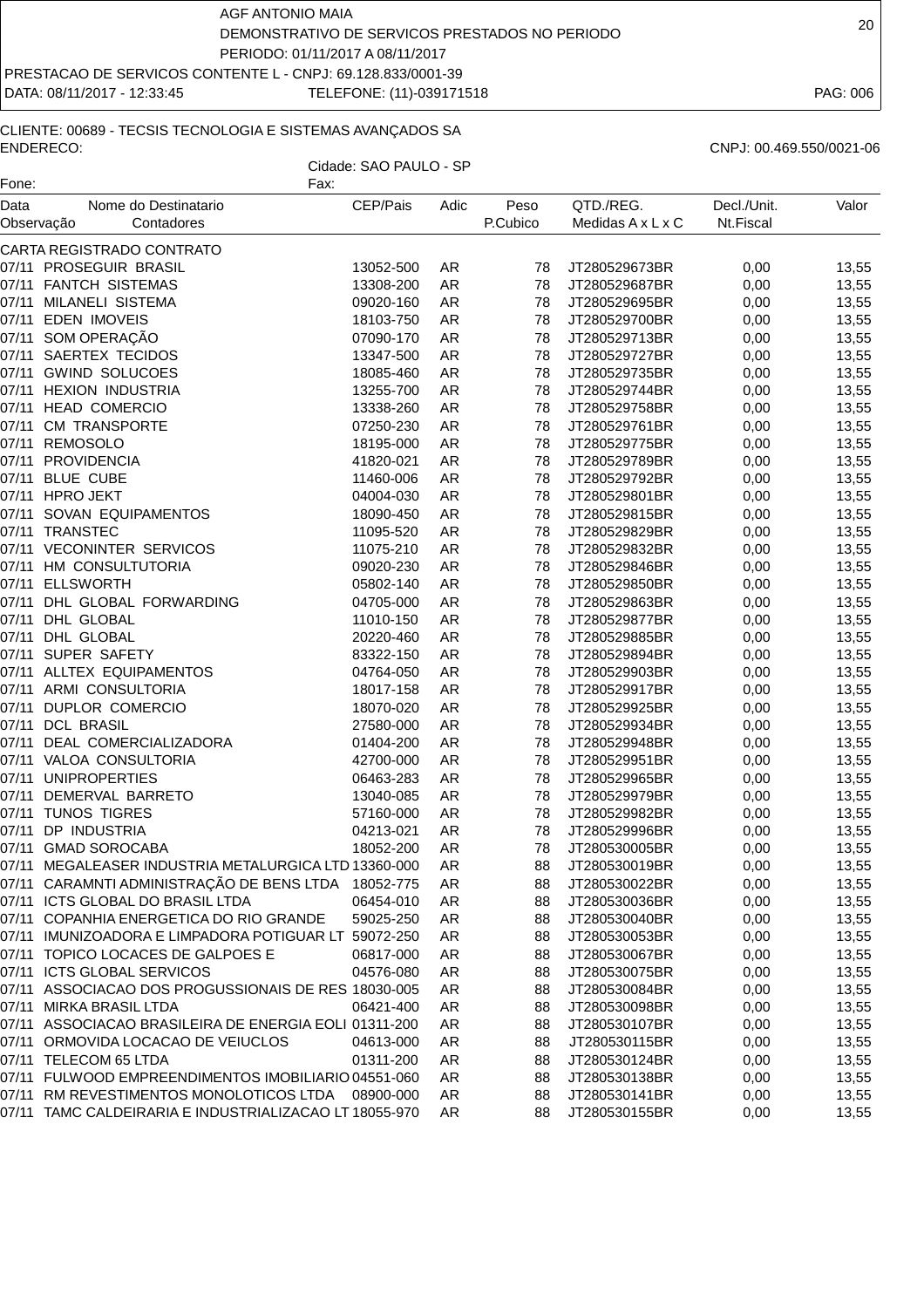DATA: 08/11/2017 - 12:33:45 TELEFONE: (11)-039171518 PAG: 006

# CLIENTE: 00689 - TECSIS TECNOLOGIA E SISTEMAS AVANÇADOS SA ENDERECO: CNPJ: 00.469.550/0021-06

| ENDEREUU.                                      |                                                                       |                        |                          |                               |               |       |  |
|------------------------------------------------|-----------------------------------------------------------------------|------------------------|--------------------------|-------------------------------|---------------|-------|--|
|                                                |                                                                       | Cidade: SAO PAULO - SP |                          |                               |               |       |  |
| Fone:                                          | Fax:                                                                  |                        |                          |                               |               |       |  |
| Data<br>Nome do Destinatario                   | CEP/Pais                                                              | Adic                   | Peso                     | QTD./REG.                     | Decl./Unit.   | Valor |  |
| Observação<br>Contadores                       |                                                                       |                        | P.Cubico                 | Medidas $A \times L \times C$ | Nt.Fiscal     |       |  |
| CARTA REGISTRADO CONTRATO                      |                                                                       |                        |                          |                               |               |       |  |
| 07/11 PROSEGUIR BRASIL                         | 13052-500                                                             | AR                     | 78                       | JT280529673BR                 | 0,00          | 13,55 |  |
| <b>FANTCH SISTEMAS</b><br>07/11                | 13308-200                                                             | AR.                    | 78                       | JT280529687BR                 | 0,00          | 13,55 |  |
| MILANELI SISTEMA<br>07/11                      | 09020-160                                                             | AR.                    | 78                       | JT280529695BR                 | 0,00          | 13,55 |  |
| 07/11<br><b>EDEN IMOVEIS</b>                   | 18103-750                                                             | AR                     | 78                       | JT280529700BR                 | 0,00          | 13,55 |  |
| SOM OPERAÇÃO<br>07/11                          | 07090-170                                                             | AR                     | 78                       | JT280529713BR                 | 0,00          | 13,55 |  |
| SAERTEX TECIDOS<br>07/11                       | 13347-500                                                             | AR.                    | 78                       | JT280529727BR                 | 0,00          | 13,55 |  |
| <b>GWIND SOLUCOES</b><br>07/11                 | 18085-460                                                             | AR.                    | 78                       | JT280529735BR                 | 0,00          | 13,55 |  |
| <b>HEXION INDUSTRIA</b><br>07/11               | 13255-700                                                             | AR.                    | 78                       | JT280529744BR                 | 0,00          | 13,55 |  |
| <b>HEAD COMERCIO</b><br>07/11                  | 13338-260                                                             | AR.                    | 78                       | JT280529758BR                 | 0,00          | 13,55 |  |
| 07/11<br><b>CM TRANSPORTE</b>                  | 07250-230                                                             | AR.                    | 78                       | JT280529761BR                 | 0,00          | 13,55 |  |
| 07/11<br>REMOSOLO                              | 18195-000                                                             | AR                     | 78                       | JT280529775BR                 | 0,00          | 13,55 |  |
| <b>PROVIDENCIA</b><br>07/11                    | 41820-021                                                             | AR                     | 78                       | JT280529789BR                 | 0,00          | 13,55 |  |
| 07/11<br><b>BLUE CUBE</b>                      | 11460-006                                                             | AR.                    | 78                       | JT280529792BR                 | 0,00          | 13,55 |  |
| <b>HPRO JEKT</b><br>07/11                      | 04004-030                                                             | AR.                    | 78                       | JT280529801BR                 | 0,00          | 13,55 |  |
| SOVAN EQUIPAMENTOS<br>07/11                    | 18090-450                                                             | AR.                    | 78                       | JT280529815BR                 | 0,00          | 13,55 |  |
| 07/11 TRANSTEC                                 | 11095-520                                                             | AR.                    | 78                       | JT280529829BR                 | 0,00          | 13,55 |  |
| $07/44$ $\sqrt{500}$ $\sqrt{100}$ $\sqrt{200}$ | $\lambda$ $\lambda$ $\lambda$ $\lambda$ $\lambda$ $\lambda$ $\lambda$ | $\sqrt{2}$             | $\overline{\phantom{a}}$ | ITOOOFOOOOODD                 | $\sim$ $\sim$ | 40 F  |  |

| 07/11 MILANELI SISTEMA                                 | 09020-160 | AR | 78 | JT280529695BR    | 0,00 | 13,55 |
|--------------------------------------------------------|-----------|----|----|------------------|------|-------|
| 07/11 EDEN IMOVEIS                                     | 18103-750 | AR | 78 | JT280529700BR    | 0,00 | 13,55 |
| 07/11 SOM OPERAÇÃO                                     | 07090-170 | AR | 78 | JT280529713BR    | 0,00 | 13,55 |
| 07/11 SAERTEX TECIDOS                                  | 13347-500 | AR | 78 | JT280529727BR    | 0,00 | 13,55 |
| 07/11 GWIND SOLUCOES                                   | 18085-460 | AR | 78 | JT280529735BR    | 0,00 | 13,55 |
| 07/11 HEXION INDUSTRIA                                 | 13255-700 | AR | 78 | JT280529744BR    | 0,00 | 13,55 |
| 07/11 HEAD COMERCIO                                    | 13338-260 | AR | 78 | JT280529758BR    | 0,00 | 13,55 |
| 07/11 CM TRANSPORTE                                    | 07250-230 | AR | 78 | JT280529761BR    | 0,00 | 13,55 |
| 07/11 REMOSOLO                                         | 18195-000 | AR | 78 | JT280529775BR    | 0,00 | 13,55 |
| 07/11 PROVIDENCIA                                      | 41820-021 | AR | 78 | JT280529789BR    | 0,00 | 13,55 |
| 07/11 BLUE CUBE                                        | 11460-006 | AR | 78 | JT280529792BR    | 0,00 | 13,55 |
| 07/11 HPRO JEKT                                        | 04004-030 | AR | 78 | JT280529801BR    | 0,00 | 13,55 |
| 07/11 SOVAN EQUIPAMENTOS                               | 18090-450 | AR | 78 | JT280529815BR    | 0,00 | 13,55 |
| 07/11 TRANSTEC                                         | 11095-520 | AR | 78 | JT280529829BR    | 0,00 | 13,55 |
| 07/11 VECONINTER SERVICOS                              | 11075-210 | AR | 78 | JT280529832BR    | 0,00 | 13,55 |
| 07/11 HM CONSULTUTORIA                                 | 09020-230 | AR | 78 | JT280529846BR    | 0,00 | 13,55 |
| 07/11 ELLSWORTH                                        | 05802-140 | AR | 78 | JT280529850BR    | 0,00 | 13,55 |
| 07/11 DHL GLOBAL FORWARDING                            | 04705-000 | AR | 78 | JT280529863BR    | 0,00 | 13,55 |
| 07/11 DHL GLOBAL                                       | 11010-150 | AR | 78 | JT280529877BR    | 0,00 | 13,55 |
| 07/11 DHL GLOBAL                                       | 20220-460 | AR | 78 | JT280529885BR    | 0,00 | 13,55 |
| 07/11 SUPER SAFETY                                     | 83322-150 | AR | 78 | JT280529894BR    | 0,00 | 13,55 |
| 07/11 ALLTEX EQUIPAMENTOS                              | 04764-050 | AR | 78 | JT280529903BR    | 0,00 | 13,55 |
| 07/11 ARMI CONSULTORIA                                 | 18017-158 | AR | 78 | JT280529917BR    | 0,00 | 13,55 |
| 07/11 DUPLOR COMERCIO                                  | 18070-020 | AR | 78 | JT280529925BR    | 0,00 | 13,55 |
| 07/11 DCL BRASIL                                       | 27580-000 | AR | 78 | JT280529934BR    | 0,00 | 13,55 |
| 07/11 DEAL COMERCIALIZADORA                            | 01404-200 | AR | 78 | JT280529948BR    | 0,00 | 13,55 |
| 07/11 VALOA CONSULTORIA                                | 42700-000 | AR | 78 | JT280529951BR    | 0,00 | 13,55 |
| 07/11 UNIPROPERTIES                                    | 06463-283 | AR | 78 | JT280529965BR    | 0,00 | 13,55 |
| 07/11 DEMERVAL BARRETO                                 | 13040-085 | AR | 78 | JT280529979BR    | 0,00 | 13,55 |
| 07/11 TUNOS TIGRES                                     | 57160-000 | AR | 78 | JT280529982BR    | 0,00 | 13,55 |
| 07/11 DP INDUSTRIA                                     | 04213-021 | AR | 78 | JT280529996BR    | 0,00 | 13,55 |
| 07/11 GMAD SOROCABA                                    | 18052-200 | AR | 78 | JT280530005BR    | 0,00 | 13,55 |
| 07/11 MEGALEASER INDUSTRIA METALURGICA LTD 13360-000   |           | AR | 88 | JT280530019BR    | 0,00 | 13,55 |
| 07/11 CARAMNTI ADMINISTRAÇÃO DE BENS LTDA 18052-775    |           | AR | 88 | JT280530022BR    | 0,00 | 13,55 |
| 07/11 ICTS GLOBAL DO BRASIL LTDA                       | 06454-010 | AR | 88 | JT280530036BR    | 0,00 | 13,55 |
| 07/11 COPANHIA ENERGETICA DO RIO GRANDE                | 59025-250 | AR | 88 | JT280530040BR    | 0,00 | 13,55 |
| 07/11 IMUNIZOADORA E LIMPADORA POTIGUAR LT 59072-250   |           | AR | 88 | JT280530053BR    | 0,00 | 13,55 |
| 07/11 TOPICO LOCACES DE GALPOES E                      | 06817-000 | AR | 88 | JT280530067BR    | 0,00 | 13,55 |
| 07/11 ICTS GLOBAL SERVICOS                             | 04576-080 | AR | 88 | JT280530075BR    | 0,00 | 13,55 |
| 07/11 ASSOCIACAO DOS PROGUSSIONAIS DE RES 18030-005    |           | AR |    | 88 JT280530084BR | 0,00 | 13,55 |
| 07/11 MIRKA BRASIL LTDA                                | 06421-400 | AR | 88 | JT280530098BR    | 0,00 | 13,55 |
| 07/11 ASSOCIACAO BRASILEIRA DE ENERGIA EOLI 01311-200  |           | AR | 88 | JT280530107BR    | 0,00 | 13,55 |
| 07/11 ORMOVIDA LOCACAO DE VEIUCLOS                     | 04613-000 | AR | 88 | JT280530115BR    | 0,00 | 13,55 |
| 07/11 TELECOM 65 LTDA                                  | 01311-200 | AR | 88 | JT280530124BR    | 0,00 | 13,55 |
| 07/11 FULWOOD EMPREENDIMENTOS IMOBILIARIO 04551-060    |           | AR | 88 | JT280530138BR    | 0,00 | 13,55 |
| 07/11 RM REVESTIMENTOS MONOLOTICOS LTDA   08900-000    |           | AR | 88 | JT280530141BR    | 0,00 | 13,55 |
| 07/11 TAMC CALDEIRARIA E INDUSTRIALIZACAO LT 18055-970 |           | AR | 88 | JT280530155BR    | 0,00 | 13,55 |
|                                                        |           |    |    |                  |      |       |
|                                                        |           |    |    |                  |      |       |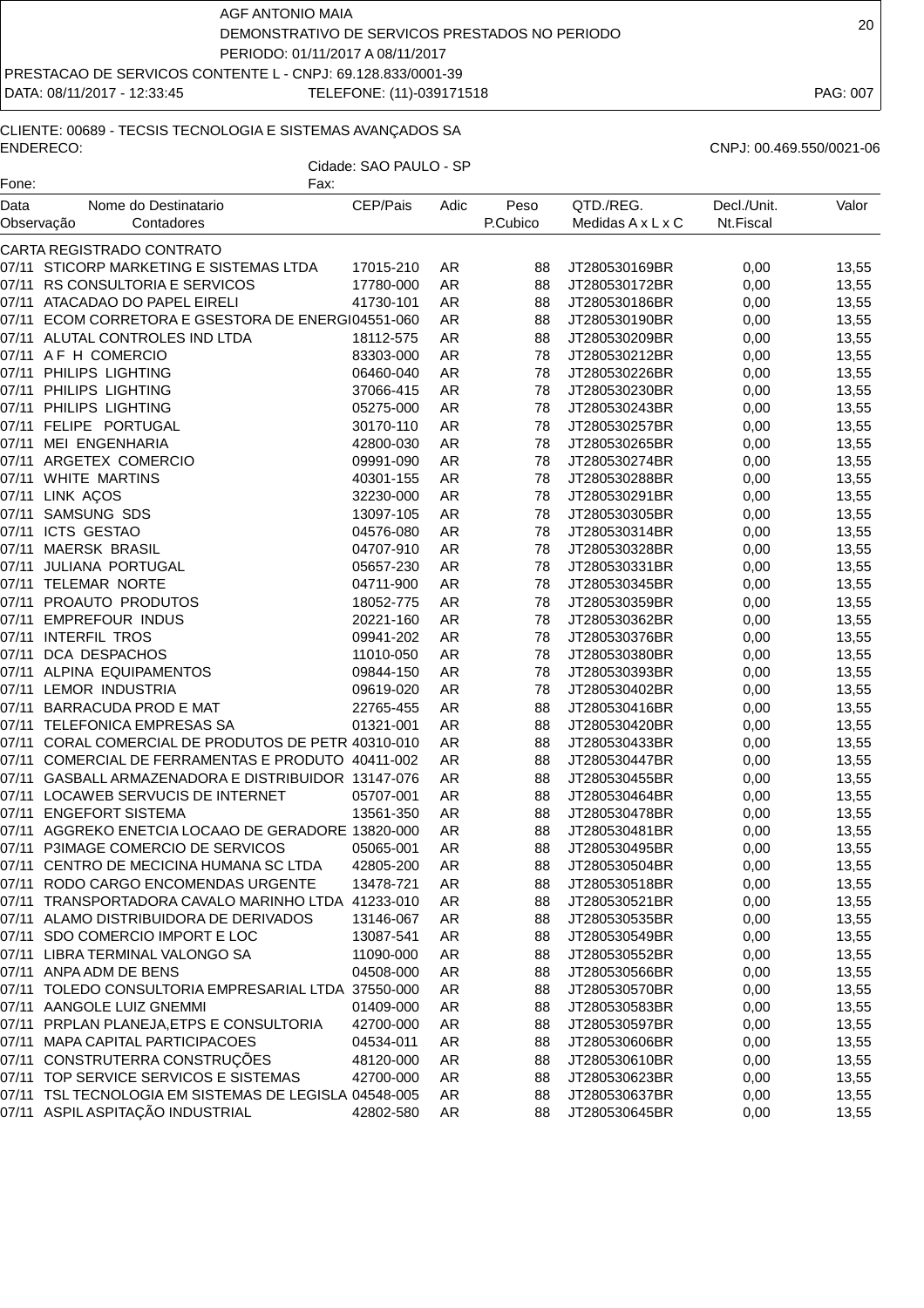DATA: 08/11/2017 - 12:33:45 TELEFONE: (11)-039171518 PAG: 007

#### CLIENTE: 00689 - TECSIS TECNOLOGIA E SISTEMAS AVANÇADOS SA ENDERECO: CNPJ: 00.469.550/0021-06

| QTD./REG.<br>Decl./Unit.<br>Data<br>Nome do Destinatario<br>CEP/Pais<br>Adic<br>Peso<br>P.Cubico<br>Medidas A x L x C<br>Nt.Fiscal<br>Observação<br>Contadores<br>CARTA REGISTRADO CONTRATO<br>07/11 STICORP MARKETING E SISTEMAS LTDA<br>17015-210<br>0,00<br>13,55<br>AR<br>88<br>JT280530169BR<br>07/11 RS CONSULTORIA E SERVICOS<br>17780-000<br><b>AR</b><br>88<br>0,00<br>13,55<br>JT280530172BR<br>07/11 ATACADAO DO PAPEL EIRELI<br>41730-101<br>13,55<br>AR<br>88<br>JT280530186BR<br>0,00<br>07/11 ECOM CORRETORA E GSESTORA DE ENERGI04551-060<br>13,55<br>AR<br>88<br>JT280530190BR<br>0,00<br>07/11 ALUTAL CONTROLES IND LTDA<br>13,55<br>18112-575<br>AR<br>88<br>JT280530209BR<br>0,00<br>07/11 AF H COMERCIO<br><b>AR</b><br>83303-000<br>78<br>JT280530212BR<br>0,00<br>13,55<br>07/11 PHILIPS LIGHTING<br><b>AR</b><br>06460-040<br>78<br>JT280530226BR<br>0,00<br>13,55<br>07/11 PHILIPS LIGHTING<br><b>AR</b><br>78<br>0,00<br>13,55<br>37066-415<br>JT280530230BR<br>07/11 PHILIPS LIGHTING<br>05275-000<br><b>AR</b><br>78<br>JT280530243BR<br>0,00<br>13,55<br>07/11 FELIPE PORTUGAL<br>30170-110<br>AR<br>0,00<br>13,55<br>78<br>JT280530257BR<br>07/11 MEI ENGENHARIA<br>13,55<br><b>AR</b><br>78<br>0,00<br>42800-030<br>JT280530265BR<br>07/11 ARGETEX COMERCIO<br><b>AR</b><br>78<br>0,00<br>13,55<br>09991-090<br>JT280530274BR<br>07/11 WHITE MARTINS<br>AR<br>78<br>JT280530288BR<br>13,55<br>40301-155<br>0,00<br>07/11 LINK AÇOS<br>78<br>13,55<br>32230-000<br>AR<br>JT280530291BR<br>0,00<br>07/11 SAMSUNG SDS<br><b>AR</b><br>78<br>13097-105<br>JT280530305BR<br>0,00<br>13,55<br>07/11 ICTS GESTAO<br><b>AR</b><br>78<br>04576-080<br>JT280530314BR<br>0,00<br>13,55<br>07/11 MAERSK BRASIL<br>AR<br>78<br>13,55<br>04707-910<br>JT280530328BR<br>0,00<br>07/11 JULIANA PORTUGAL<br>05657-230<br>AR<br>78<br>13,55<br>JT280530331BR<br>0,00<br>07/11 TELEMAR NORTE<br>AR<br>13,55<br>04711-900<br>78<br>JT280530345BR<br>0,00<br>07/11 PROAUTO PRODUTOS<br>AR<br>0,00<br>13,55<br>18052-775<br>78<br>JT280530359BR<br>07/11 EMPREFOUR INDUS<br>20221-160<br>78<br>13,55<br>AR<br>JT280530362BR<br>0,00<br>07/11 INTERFIL TROS<br>09941-202<br>AR<br>78<br>JT280530376BR<br>13,55<br>0,00<br>07/11 DCA DESPACHOS<br>13,55<br>11010-050<br>AR<br>78<br>JT280530380BR<br>0,00<br>07/11 ALPINA EQUIPAMENTOS<br><b>AR</b><br>09844-150<br>78<br>JT280530393BR<br>0,00<br>13,55<br>07/11 LEMOR INDUSTRIA<br><b>AR</b><br>13,55<br>09619-020<br>78<br>JT280530402BR<br>0,00<br>07/11 BARRACUDA PROD E MAT<br>22765-455<br>AR<br>88<br>JT280530416BR<br>0,00<br>13,55<br>07/11 TELEFONICA EMPRESAS SA<br>01321-001<br><b>AR</b><br>88<br>JT280530420BR<br>0,00<br>13,55<br>07/11 CORAL COMERCIAL DE PRODUTOS DE PETR 40310-010<br>AR<br>13,55<br>88<br>JT280530433BR<br>0,00<br>07/11 COMERCIAL DE FERRAMENTAS E PRODUTO 40411-002<br><b>AR</b><br>88<br>0,00<br>13,55<br>JT280530447BR<br>07/11 GASBALL ARMAZENADORA E DISTRIBUIDOR 13147-076<br><b>AR</b><br>0,00<br>13,55<br>88<br>JT280530455BR<br>07/11 LOCAWEB SERVUCIS DE INTERNET<br>05707-001<br>AR<br>88<br>13,55<br>JT280530464BR<br>0,00<br>07/11 ENGEFORT SISTEMA<br>13,55<br>13561-350<br>AR<br>88<br>JT280530478BR<br>0,00<br>07/11 AGGREKO ENETCIA LOCAAO DE GERADORE 13820-000<br>AR<br>88<br>JT280530481BR<br>13,55<br>0,00<br>07/11 P3IMAGE COMERCIO DE SERVICOS<br><b>AR</b><br>0,00<br>13,55<br>05065-001<br>88<br>JT280530495BR<br>07/11 CENTRO DE MECICINA HUMANA SC LTDA<br>42805-200<br>JT280530504BR<br>0,00<br>13,55<br>AR<br>88<br>07/11 RODO CARGO ENCOMENDAS URGENTE<br>13478-721<br>AR<br>88<br>JT280530518BR<br>0,00<br>13,55<br>07/11 TRANSPORTADORA CAVALO MARINHO LTDA 41233-010<br>AR<br>0,00<br>13,55<br>88<br>JT280530521BR<br>07/11 ALAMO DISTRIBUIDORA DE DERIVADOS<br>13146-067<br>AR<br>88<br>JT280530535BR<br>0,00<br>13,55<br>07/11 SDO COMERCIO IMPORT E LOC<br>13087-541<br>AR<br>JT280530549BR<br>0,00<br>13,55<br>88<br>07/11 LIBRA TERMINAL VALONGO SA<br>11090-000<br>AR<br>JT280530552BR<br>0,00<br>13,55<br>88<br>07/11 ANPA ADM DE BENS<br>04508-000<br>JT280530566BR<br>13,55<br>AR<br>88<br>0,00<br>07/11 TOLEDO CONSULTORIA EMPRESARIAL LTDA 37550-000<br>AR<br>JT280530570BR<br>13,55<br>88<br>0,00<br>07/11 AANGOLE LUIZ GNEMMI<br>01409-000<br>AR<br>88<br>JT280530583BR<br>0,00<br>13,55<br>07/11 PRPLAN PLANEJA,ETPS E CONSULTORIA<br>42700-000<br>AR<br>JT280530597BR<br>0,00<br>13,55<br>88<br>07/11 MAPA CAPITAL PARTICIPACOES<br>04534-011<br>AR<br>JT280530606BR<br>0,00<br>13,55<br>88<br>07/11 CONSTRUTERRA CONSTRUÇÕES<br>48120-000<br>AR<br>JT280530610BR<br>13,55<br>88<br>0,00<br>07/11 TOP SERVICE SERVICOS E SISTEMAS<br>42700-000<br>AR<br>88<br>JT280530623BR<br>0,00<br>13,55<br>07/11 TSL TECNOLOGIA EM SISTEMAS DE LEGISLA 04548-005<br>AR<br>JT280530637BR<br>0,00<br>13,55<br>88<br>07/11 ASPIL ASPITAÇÃO INDUSTRIAL<br>42802-580<br>AR<br>JT280530645BR<br>0,00<br>88 | Fone: | Fax: | Cidade: SAO PAULO - SP |  |  |       |
|---------------------------------------------------------------------------------------------------------------------------------------------------------------------------------------------------------------------------------------------------------------------------------------------------------------------------------------------------------------------------------------------------------------------------------------------------------------------------------------------------------------------------------------------------------------------------------------------------------------------------------------------------------------------------------------------------------------------------------------------------------------------------------------------------------------------------------------------------------------------------------------------------------------------------------------------------------------------------------------------------------------------------------------------------------------------------------------------------------------------------------------------------------------------------------------------------------------------------------------------------------------------------------------------------------------------------------------------------------------------------------------------------------------------------------------------------------------------------------------------------------------------------------------------------------------------------------------------------------------------------------------------------------------------------------------------------------------------------------------------------------------------------------------------------------------------------------------------------------------------------------------------------------------------------------------------------------------------------------------------------------------------------------------------------------------------------------------------------------------------------------------------------------------------------------------------------------------------------------------------------------------------------------------------------------------------------------------------------------------------------------------------------------------------------------------------------------------------------------------------------------------------------------------------------------------------------------------------------------------------------------------------------------------------------------------------------------------------------------------------------------------------------------------------------------------------------------------------------------------------------------------------------------------------------------------------------------------------------------------------------------------------------------------------------------------------------------------------------------------------------------------------------------------------------------------------------------------------------------------------------------------------------------------------------------------------------------------------------------------------------------------------------------------------------------------------------------------------------------------------------------------------------------------------------------------------------------------------------------------------------------------------------------------------------------------------------------------------------------------------------------------------------------------------------------------------------------------------------------------------------------------------------------------------------------------------------------------------------------------------------------------------------------------------------------------------------------------------------------------------------------------------------------------------------------------------------------------------------------------------------------------------------------------------------------------------------------------------------------------------------------------------------------------------------------------------------------------------------------------------------------------------------------------------------------------------------------------------------------------------------------------------------------------------------------------------------------------------------------------------------------------------------------------------------------------------------------------------------------------------------------------------------------------------------------------|-------|------|------------------------|--|--|-------|
|                                                                                                                                                                                                                                                                                                                                                                                                                                                                                                                                                                                                                                                                                                                                                                                                                                                                                                                                                                                                                                                                                                                                                                                                                                                                                                                                                                                                                                                                                                                                                                                                                                                                                                                                                                                                                                                                                                                                                                                                                                                                                                                                                                                                                                                                                                                                                                                                                                                                                                                                                                                                                                                                                                                                                                                                                                                                                                                                                                                                                                                                                                                                                                                                                                                                                                                                                                                                                                                                                                                                                                                                                                                                                                                                                                                                                                                                                                                                                                                                                                                                                                                                                                                                                                                                                                                                                                                                                                                                                                                                                                                                                                                                                                                                                                                                                                                                                                                                       |       |      |                        |  |  | Valor |
|                                                                                                                                                                                                                                                                                                                                                                                                                                                                                                                                                                                                                                                                                                                                                                                                                                                                                                                                                                                                                                                                                                                                                                                                                                                                                                                                                                                                                                                                                                                                                                                                                                                                                                                                                                                                                                                                                                                                                                                                                                                                                                                                                                                                                                                                                                                                                                                                                                                                                                                                                                                                                                                                                                                                                                                                                                                                                                                                                                                                                                                                                                                                                                                                                                                                                                                                                                                                                                                                                                                                                                                                                                                                                                                                                                                                                                                                                                                                                                                                                                                                                                                                                                                                                                                                                                                                                                                                                                                                                                                                                                                                                                                                                                                                                                                                                                                                                                                                       |       |      |                        |  |  |       |
|                                                                                                                                                                                                                                                                                                                                                                                                                                                                                                                                                                                                                                                                                                                                                                                                                                                                                                                                                                                                                                                                                                                                                                                                                                                                                                                                                                                                                                                                                                                                                                                                                                                                                                                                                                                                                                                                                                                                                                                                                                                                                                                                                                                                                                                                                                                                                                                                                                                                                                                                                                                                                                                                                                                                                                                                                                                                                                                                                                                                                                                                                                                                                                                                                                                                                                                                                                                                                                                                                                                                                                                                                                                                                                                                                                                                                                                                                                                                                                                                                                                                                                                                                                                                                                                                                                                                                                                                                                                                                                                                                                                                                                                                                                                                                                                                                                                                                                                                       |       |      |                        |  |  |       |
|                                                                                                                                                                                                                                                                                                                                                                                                                                                                                                                                                                                                                                                                                                                                                                                                                                                                                                                                                                                                                                                                                                                                                                                                                                                                                                                                                                                                                                                                                                                                                                                                                                                                                                                                                                                                                                                                                                                                                                                                                                                                                                                                                                                                                                                                                                                                                                                                                                                                                                                                                                                                                                                                                                                                                                                                                                                                                                                                                                                                                                                                                                                                                                                                                                                                                                                                                                                                                                                                                                                                                                                                                                                                                                                                                                                                                                                                                                                                                                                                                                                                                                                                                                                                                                                                                                                                                                                                                                                                                                                                                                                                                                                                                                                                                                                                                                                                                                                                       |       |      |                        |  |  |       |
|                                                                                                                                                                                                                                                                                                                                                                                                                                                                                                                                                                                                                                                                                                                                                                                                                                                                                                                                                                                                                                                                                                                                                                                                                                                                                                                                                                                                                                                                                                                                                                                                                                                                                                                                                                                                                                                                                                                                                                                                                                                                                                                                                                                                                                                                                                                                                                                                                                                                                                                                                                                                                                                                                                                                                                                                                                                                                                                                                                                                                                                                                                                                                                                                                                                                                                                                                                                                                                                                                                                                                                                                                                                                                                                                                                                                                                                                                                                                                                                                                                                                                                                                                                                                                                                                                                                                                                                                                                                                                                                                                                                                                                                                                                                                                                                                                                                                                                                                       |       |      |                        |  |  |       |
|                                                                                                                                                                                                                                                                                                                                                                                                                                                                                                                                                                                                                                                                                                                                                                                                                                                                                                                                                                                                                                                                                                                                                                                                                                                                                                                                                                                                                                                                                                                                                                                                                                                                                                                                                                                                                                                                                                                                                                                                                                                                                                                                                                                                                                                                                                                                                                                                                                                                                                                                                                                                                                                                                                                                                                                                                                                                                                                                                                                                                                                                                                                                                                                                                                                                                                                                                                                                                                                                                                                                                                                                                                                                                                                                                                                                                                                                                                                                                                                                                                                                                                                                                                                                                                                                                                                                                                                                                                                                                                                                                                                                                                                                                                                                                                                                                                                                                                                                       |       |      |                        |  |  |       |
|                                                                                                                                                                                                                                                                                                                                                                                                                                                                                                                                                                                                                                                                                                                                                                                                                                                                                                                                                                                                                                                                                                                                                                                                                                                                                                                                                                                                                                                                                                                                                                                                                                                                                                                                                                                                                                                                                                                                                                                                                                                                                                                                                                                                                                                                                                                                                                                                                                                                                                                                                                                                                                                                                                                                                                                                                                                                                                                                                                                                                                                                                                                                                                                                                                                                                                                                                                                                                                                                                                                                                                                                                                                                                                                                                                                                                                                                                                                                                                                                                                                                                                                                                                                                                                                                                                                                                                                                                                                                                                                                                                                                                                                                                                                                                                                                                                                                                                                                       |       |      |                        |  |  |       |
|                                                                                                                                                                                                                                                                                                                                                                                                                                                                                                                                                                                                                                                                                                                                                                                                                                                                                                                                                                                                                                                                                                                                                                                                                                                                                                                                                                                                                                                                                                                                                                                                                                                                                                                                                                                                                                                                                                                                                                                                                                                                                                                                                                                                                                                                                                                                                                                                                                                                                                                                                                                                                                                                                                                                                                                                                                                                                                                                                                                                                                                                                                                                                                                                                                                                                                                                                                                                                                                                                                                                                                                                                                                                                                                                                                                                                                                                                                                                                                                                                                                                                                                                                                                                                                                                                                                                                                                                                                                                                                                                                                                                                                                                                                                                                                                                                                                                                                                                       |       |      |                        |  |  |       |
|                                                                                                                                                                                                                                                                                                                                                                                                                                                                                                                                                                                                                                                                                                                                                                                                                                                                                                                                                                                                                                                                                                                                                                                                                                                                                                                                                                                                                                                                                                                                                                                                                                                                                                                                                                                                                                                                                                                                                                                                                                                                                                                                                                                                                                                                                                                                                                                                                                                                                                                                                                                                                                                                                                                                                                                                                                                                                                                                                                                                                                                                                                                                                                                                                                                                                                                                                                                                                                                                                                                                                                                                                                                                                                                                                                                                                                                                                                                                                                                                                                                                                                                                                                                                                                                                                                                                                                                                                                                                                                                                                                                                                                                                                                                                                                                                                                                                                                                                       |       |      |                        |  |  |       |
|                                                                                                                                                                                                                                                                                                                                                                                                                                                                                                                                                                                                                                                                                                                                                                                                                                                                                                                                                                                                                                                                                                                                                                                                                                                                                                                                                                                                                                                                                                                                                                                                                                                                                                                                                                                                                                                                                                                                                                                                                                                                                                                                                                                                                                                                                                                                                                                                                                                                                                                                                                                                                                                                                                                                                                                                                                                                                                                                                                                                                                                                                                                                                                                                                                                                                                                                                                                                                                                                                                                                                                                                                                                                                                                                                                                                                                                                                                                                                                                                                                                                                                                                                                                                                                                                                                                                                                                                                                                                                                                                                                                                                                                                                                                                                                                                                                                                                                                                       |       |      |                        |  |  |       |
|                                                                                                                                                                                                                                                                                                                                                                                                                                                                                                                                                                                                                                                                                                                                                                                                                                                                                                                                                                                                                                                                                                                                                                                                                                                                                                                                                                                                                                                                                                                                                                                                                                                                                                                                                                                                                                                                                                                                                                                                                                                                                                                                                                                                                                                                                                                                                                                                                                                                                                                                                                                                                                                                                                                                                                                                                                                                                                                                                                                                                                                                                                                                                                                                                                                                                                                                                                                                                                                                                                                                                                                                                                                                                                                                                                                                                                                                                                                                                                                                                                                                                                                                                                                                                                                                                                                                                                                                                                                                                                                                                                                                                                                                                                                                                                                                                                                                                                                                       |       |      |                        |  |  |       |
|                                                                                                                                                                                                                                                                                                                                                                                                                                                                                                                                                                                                                                                                                                                                                                                                                                                                                                                                                                                                                                                                                                                                                                                                                                                                                                                                                                                                                                                                                                                                                                                                                                                                                                                                                                                                                                                                                                                                                                                                                                                                                                                                                                                                                                                                                                                                                                                                                                                                                                                                                                                                                                                                                                                                                                                                                                                                                                                                                                                                                                                                                                                                                                                                                                                                                                                                                                                                                                                                                                                                                                                                                                                                                                                                                                                                                                                                                                                                                                                                                                                                                                                                                                                                                                                                                                                                                                                                                                                                                                                                                                                                                                                                                                                                                                                                                                                                                                                                       |       |      |                        |  |  |       |
|                                                                                                                                                                                                                                                                                                                                                                                                                                                                                                                                                                                                                                                                                                                                                                                                                                                                                                                                                                                                                                                                                                                                                                                                                                                                                                                                                                                                                                                                                                                                                                                                                                                                                                                                                                                                                                                                                                                                                                                                                                                                                                                                                                                                                                                                                                                                                                                                                                                                                                                                                                                                                                                                                                                                                                                                                                                                                                                                                                                                                                                                                                                                                                                                                                                                                                                                                                                                                                                                                                                                                                                                                                                                                                                                                                                                                                                                                                                                                                                                                                                                                                                                                                                                                                                                                                                                                                                                                                                                                                                                                                                                                                                                                                                                                                                                                                                                                                                                       |       |      |                        |  |  |       |
|                                                                                                                                                                                                                                                                                                                                                                                                                                                                                                                                                                                                                                                                                                                                                                                                                                                                                                                                                                                                                                                                                                                                                                                                                                                                                                                                                                                                                                                                                                                                                                                                                                                                                                                                                                                                                                                                                                                                                                                                                                                                                                                                                                                                                                                                                                                                                                                                                                                                                                                                                                                                                                                                                                                                                                                                                                                                                                                                                                                                                                                                                                                                                                                                                                                                                                                                                                                                                                                                                                                                                                                                                                                                                                                                                                                                                                                                                                                                                                                                                                                                                                                                                                                                                                                                                                                                                                                                                                                                                                                                                                                                                                                                                                                                                                                                                                                                                                                                       |       |      |                        |  |  |       |
|                                                                                                                                                                                                                                                                                                                                                                                                                                                                                                                                                                                                                                                                                                                                                                                                                                                                                                                                                                                                                                                                                                                                                                                                                                                                                                                                                                                                                                                                                                                                                                                                                                                                                                                                                                                                                                                                                                                                                                                                                                                                                                                                                                                                                                                                                                                                                                                                                                                                                                                                                                                                                                                                                                                                                                                                                                                                                                                                                                                                                                                                                                                                                                                                                                                                                                                                                                                                                                                                                                                                                                                                                                                                                                                                                                                                                                                                                                                                                                                                                                                                                                                                                                                                                                                                                                                                                                                                                                                                                                                                                                                                                                                                                                                                                                                                                                                                                                                                       |       |      |                        |  |  |       |
|                                                                                                                                                                                                                                                                                                                                                                                                                                                                                                                                                                                                                                                                                                                                                                                                                                                                                                                                                                                                                                                                                                                                                                                                                                                                                                                                                                                                                                                                                                                                                                                                                                                                                                                                                                                                                                                                                                                                                                                                                                                                                                                                                                                                                                                                                                                                                                                                                                                                                                                                                                                                                                                                                                                                                                                                                                                                                                                                                                                                                                                                                                                                                                                                                                                                                                                                                                                                                                                                                                                                                                                                                                                                                                                                                                                                                                                                                                                                                                                                                                                                                                                                                                                                                                                                                                                                                                                                                                                                                                                                                                                                                                                                                                                                                                                                                                                                                                                                       |       |      |                        |  |  |       |
|                                                                                                                                                                                                                                                                                                                                                                                                                                                                                                                                                                                                                                                                                                                                                                                                                                                                                                                                                                                                                                                                                                                                                                                                                                                                                                                                                                                                                                                                                                                                                                                                                                                                                                                                                                                                                                                                                                                                                                                                                                                                                                                                                                                                                                                                                                                                                                                                                                                                                                                                                                                                                                                                                                                                                                                                                                                                                                                                                                                                                                                                                                                                                                                                                                                                                                                                                                                                                                                                                                                                                                                                                                                                                                                                                                                                                                                                                                                                                                                                                                                                                                                                                                                                                                                                                                                                                                                                                                                                                                                                                                                                                                                                                                                                                                                                                                                                                                                                       |       |      |                        |  |  |       |
|                                                                                                                                                                                                                                                                                                                                                                                                                                                                                                                                                                                                                                                                                                                                                                                                                                                                                                                                                                                                                                                                                                                                                                                                                                                                                                                                                                                                                                                                                                                                                                                                                                                                                                                                                                                                                                                                                                                                                                                                                                                                                                                                                                                                                                                                                                                                                                                                                                                                                                                                                                                                                                                                                                                                                                                                                                                                                                                                                                                                                                                                                                                                                                                                                                                                                                                                                                                                                                                                                                                                                                                                                                                                                                                                                                                                                                                                                                                                                                                                                                                                                                                                                                                                                                                                                                                                                                                                                                                                                                                                                                                                                                                                                                                                                                                                                                                                                                                                       |       |      |                        |  |  |       |
|                                                                                                                                                                                                                                                                                                                                                                                                                                                                                                                                                                                                                                                                                                                                                                                                                                                                                                                                                                                                                                                                                                                                                                                                                                                                                                                                                                                                                                                                                                                                                                                                                                                                                                                                                                                                                                                                                                                                                                                                                                                                                                                                                                                                                                                                                                                                                                                                                                                                                                                                                                                                                                                                                                                                                                                                                                                                                                                                                                                                                                                                                                                                                                                                                                                                                                                                                                                                                                                                                                                                                                                                                                                                                                                                                                                                                                                                                                                                                                                                                                                                                                                                                                                                                                                                                                                                                                                                                                                                                                                                                                                                                                                                                                                                                                                                                                                                                                                                       |       |      |                        |  |  |       |
|                                                                                                                                                                                                                                                                                                                                                                                                                                                                                                                                                                                                                                                                                                                                                                                                                                                                                                                                                                                                                                                                                                                                                                                                                                                                                                                                                                                                                                                                                                                                                                                                                                                                                                                                                                                                                                                                                                                                                                                                                                                                                                                                                                                                                                                                                                                                                                                                                                                                                                                                                                                                                                                                                                                                                                                                                                                                                                                                                                                                                                                                                                                                                                                                                                                                                                                                                                                                                                                                                                                                                                                                                                                                                                                                                                                                                                                                                                                                                                                                                                                                                                                                                                                                                                                                                                                                                                                                                                                                                                                                                                                                                                                                                                                                                                                                                                                                                                                                       |       |      |                        |  |  |       |
|                                                                                                                                                                                                                                                                                                                                                                                                                                                                                                                                                                                                                                                                                                                                                                                                                                                                                                                                                                                                                                                                                                                                                                                                                                                                                                                                                                                                                                                                                                                                                                                                                                                                                                                                                                                                                                                                                                                                                                                                                                                                                                                                                                                                                                                                                                                                                                                                                                                                                                                                                                                                                                                                                                                                                                                                                                                                                                                                                                                                                                                                                                                                                                                                                                                                                                                                                                                                                                                                                                                                                                                                                                                                                                                                                                                                                                                                                                                                                                                                                                                                                                                                                                                                                                                                                                                                                                                                                                                                                                                                                                                                                                                                                                                                                                                                                                                                                                                                       |       |      |                        |  |  |       |
|                                                                                                                                                                                                                                                                                                                                                                                                                                                                                                                                                                                                                                                                                                                                                                                                                                                                                                                                                                                                                                                                                                                                                                                                                                                                                                                                                                                                                                                                                                                                                                                                                                                                                                                                                                                                                                                                                                                                                                                                                                                                                                                                                                                                                                                                                                                                                                                                                                                                                                                                                                                                                                                                                                                                                                                                                                                                                                                                                                                                                                                                                                                                                                                                                                                                                                                                                                                                                                                                                                                                                                                                                                                                                                                                                                                                                                                                                                                                                                                                                                                                                                                                                                                                                                                                                                                                                                                                                                                                                                                                                                                                                                                                                                                                                                                                                                                                                                                                       |       |      |                        |  |  |       |
|                                                                                                                                                                                                                                                                                                                                                                                                                                                                                                                                                                                                                                                                                                                                                                                                                                                                                                                                                                                                                                                                                                                                                                                                                                                                                                                                                                                                                                                                                                                                                                                                                                                                                                                                                                                                                                                                                                                                                                                                                                                                                                                                                                                                                                                                                                                                                                                                                                                                                                                                                                                                                                                                                                                                                                                                                                                                                                                                                                                                                                                                                                                                                                                                                                                                                                                                                                                                                                                                                                                                                                                                                                                                                                                                                                                                                                                                                                                                                                                                                                                                                                                                                                                                                                                                                                                                                                                                                                                                                                                                                                                                                                                                                                                                                                                                                                                                                                                                       |       |      |                        |  |  |       |
|                                                                                                                                                                                                                                                                                                                                                                                                                                                                                                                                                                                                                                                                                                                                                                                                                                                                                                                                                                                                                                                                                                                                                                                                                                                                                                                                                                                                                                                                                                                                                                                                                                                                                                                                                                                                                                                                                                                                                                                                                                                                                                                                                                                                                                                                                                                                                                                                                                                                                                                                                                                                                                                                                                                                                                                                                                                                                                                                                                                                                                                                                                                                                                                                                                                                                                                                                                                                                                                                                                                                                                                                                                                                                                                                                                                                                                                                                                                                                                                                                                                                                                                                                                                                                                                                                                                                                                                                                                                                                                                                                                                                                                                                                                                                                                                                                                                                                                                                       |       |      |                        |  |  |       |
|                                                                                                                                                                                                                                                                                                                                                                                                                                                                                                                                                                                                                                                                                                                                                                                                                                                                                                                                                                                                                                                                                                                                                                                                                                                                                                                                                                                                                                                                                                                                                                                                                                                                                                                                                                                                                                                                                                                                                                                                                                                                                                                                                                                                                                                                                                                                                                                                                                                                                                                                                                                                                                                                                                                                                                                                                                                                                                                                                                                                                                                                                                                                                                                                                                                                                                                                                                                                                                                                                                                                                                                                                                                                                                                                                                                                                                                                                                                                                                                                                                                                                                                                                                                                                                                                                                                                                                                                                                                                                                                                                                                                                                                                                                                                                                                                                                                                                                                                       |       |      |                        |  |  |       |
|                                                                                                                                                                                                                                                                                                                                                                                                                                                                                                                                                                                                                                                                                                                                                                                                                                                                                                                                                                                                                                                                                                                                                                                                                                                                                                                                                                                                                                                                                                                                                                                                                                                                                                                                                                                                                                                                                                                                                                                                                                                                                                                                                                                                                                                                                                                                                                                                                                                                                                                                                                                                                                                                                                                                                                                                                                                                                                                                                                                                                                                                                                                                                                                                                                                                                                                                                                                                                                                                                                                                                                                                                                                                                                                                                                                                                                                                                                                                                                                                                                                                                                                                                                                                                                                                                                                                                                                                                                                                                                                                                                                                                                                                                                                                                                                                                                                                                                                                       |       |      |                        |  |  |       |
|                                                                                                                                                                                                                                                                                                                                                                                                                                                                                                                                                                                                                                                                                                                                                                                                                                                                                                                                                                                                                                                                                                                                                                                                                                                                                                                                                                                                                                                                                                                                                                                                                                                                                                                                                                                                                                                                                                                                                                                                                                                                                                                                                                                                                                                                                                                                                                                                                                                                                                                                                                                                                                                                                                                                                                                                                                                                                                                                                                                                                                                                                                                                                                                                                                                                                                                                                                                                                                                                                                                                                                                                                                                                                                                                                                                                                                                                                                                                                                                                                                                                                                                                                                                                                                                                                                                                                                                                                                                                                                                                                                                                                                                                                                                                                                                                                                                                                                                                       |       |      |                        |  |  |       |
|                                                                                                                                                                                                                                                                                                                                                                                                                                                                                                                                                                                                                                                                                                                                                                                                                                                                                                                                                                                                                                                                                                                                                                                                                                                                                                                                                                                                                                                                                                                                                                                                                                                                                                                                                                                                                                                                                                                                                                                                                                                                                                                                                                                                                                                                                                                                                                                                                                                                                                                                                                                                                                                                                                                                                                                                                                                                                                                                                                                                                                                                                                                                                                                                                                                                                                                                                                                                                                                                                                                                                                                                                                                                                                                                                                                                                                                                                                                                                                                                                                                                                                                                                                                                                                                                                                                                                                                                                                                                                                                                                                                                                                                                                                                                                                                                                                                                                                                                       |       |      |                        |  |  |       |
|                                                                                                                                                                                                                                                                                                                                                                                                                                                                                                                                                                                                                                                                                                                                                                                                                                                                                                                                                                                                                                                                                                                                                                                                                                                                                                                                                                                                                                                                                                                                                                                                                                                                                                                                                                                                                                                                                                                                                                                                                                                                                                                                                                                                                                                                                                                                                                                                                                                                                                                                                                                                                                                                                                                                                                                                                                                                                                                                                                                                                                                                                                                                                                                                                                                                                                                                                                                                                                                                                                                                                                                                                                                                                                                                                                                                                                                                                                                                                                                                                                                                                                                                                                                                                                                                                                                                                                                                                                                                                                                                                                                                                                                                                                                                                                                                                                                                                                                                       |       |      |                        |  |  |       |
|                                                                                                                                                                                                                                                                                                                                                                                                                                                                                                                                                                                                                                                                                                                                                                                                                                                                                                                                                                                                                                                                                                                                                                                                                                                                                                                                                                                                                                                                                                                                                                                                                                                                                                                                                                                                                                                                                                                                                                                                                                                                                                                                                                                                                                                                                                                                                                                                                                                                                                                                                                                                                                                                                                                                                                                                                                                                                                                                                                                                                                                                                                                                                                                                                                                                                                                                                                                                                                                                                                                                                                                                                                                                                                                                                                                                                                                                                                                                                                                                                                                                                                                                                                                                                                                                                                                                                                                                                                                                                                                                                                                                                                                                                                                                                                                                                                                                                                                                       |       |      |                        |  |  |       |
|                                                                                                                                                                                                                                                                                                                                                                                                                                                                                                                                                                                                                                                                                                                                                                                                                                                                                                                                                                                                                                                                                                                                                                                                                                                                                                                                                                                                                                                                                                                                                                                                                                                                                                                                                                                                                                                                                                                                                                                                                                                                                                                                                                                                                                                                                                                                                                                                                                                                                                                                                                                                                                                                                                                                                                                                                                                                                                                                                                                                                                                                                                                                                                                                                                                                                                                                                                                                                                                                                                                                                                                                                                                                                                                                                                                                                                                                                                                                                                                                                                                                                                                                                                                                                                                                                                                                                                                                                                                                                                                                                                                                                                                                                                                                                                                                                                                                                                                                       |       |      |                        |  |  |       |
|                                                                                                                                                                                                                                                                                                                                                                                                                                                                                                                                                                                                                                                                                                                                                                                                                                                                                                                                                                                                                                                                                                                                                                                                                                                                                                                                                                                                                                                                                                                                                                                                                                                                                                                                                                                                                                                                                                                                                                                                                                                                                                                                                                                                                                                                                                                                                                                                                                                                                                                                                                                                                                                                                                                                                                                                                                                                                                                                                                                                                                                                                                                                                                                                                                                                                                                                                                                                                                                                                                                                                                                                                                                                                                                                                                                                                                                                                                                                                                                                                                                                                                                                                                                                                                                                                                                                                                                                                                                                                                                                                                                                                                                                                                                                                                                                                                                                                                                                       |       |      |                        |  |  |       |
|                                                                                                                                                                                                                                                                                                                                                                                                                                                                                                                                                                                                                                                                                                                                                                                                                                                                                                                                                                                                                                                                                                                                                                                                                                                                                                                                                                                                                                                                                                                                                                                                                                                                                                                                                                                                                                                                                                                                                                                                                                                                                                                                                                                                                                                                                                                                                                                                                                                                                                                                                                                                                                                                                                                                                                                                                                                                                                                                                                                                                                                                                                                                                                                                                                                                                                                                                                                                                                                                                                                                                                                                                                                                                                                                                                                                                                                                                                                                                                                                                                                                                                                                                                                                                                                                                                                                                                                                                                                                                                                                                                                                                                                                                                                                                                                                                                                                                                                                       |       |      |                        |  |  |       |
|                                                                                                                                                                                                                                                                                                                                                                                                                                                                                                                                                                                                                                                                                                                                                                                                                                                                                                                                                                                                                                                                                                                                                                                                                                                                                                                                                                                                                                                                                                                                                                                                                                                                                                                                                                                                                                                                                                                                                                                                                                                                                                                                                                                                                                                                                                                                                                                                                                                                                                                                                                                                                                                                                                                                                                                                                                                                                                                                                                                                                                                                                                                                                                                                                                                                                                                                                                                                                                                                                                                                                                                                                                                                                                                                                                                                                                                                                                                                                                                                                                                                                                                                                                                                                                                                                                                                                                                                                                                                                                                                                                                                                                                                                                                                                                                                                                                                                                                                       |       |      |                        |  |  |       |
|                                                                                                                                                                                                                                                                                                                                                                                                                                                                                                                                                                                                                                                                                                                                                                                                                                                                                                                                                                                                                                                                                                                                                                                                                                                                                                                                                                                                                                                                                                                                                                                                                                                                                                                                                                                                                                                                                                                                                                                                                                                                                                                                                                                                                                                                                                                                                                                                                                                                                                                                                                                                                                                                                                                                                                                                                                                                                                                                                                                                                                                                                                                                                                                                                                                                                                                                                                                                                                                                                                                                                                                                                                                                                                                                                                                                                                                                                                                                                                                                                                                                                                                                                                                                                                                                                                                                                                                                                                                                                                                                                                                                                                                                                                                                                                                                                                                                                                                                       |       |      |                        |  |  |       |
|                                                                                                                                                                                                                                                                                                                                                                                                                                                                                                                                                                                                                                                                                                                                                                                                                                                                                                                                                                                                                                                                                                                                                                                                                                                                                                                                                                                                                                                                                                                                                                                                                                                                                                                                                                                                                                                                                                                                                                                                                                                                                                                                                                                                                                                                                                                                                                                                                                                                                                                                                                                                                                                                                                                                                                                                                                                                                                                                                                                                                                                                                                                                                                                                                                                                                                                                                                                                                                                                                                                                                                                                                                                                                                                                                                                                                                                                                                                                                                                                                                                                                                                                                                                                                                                                                                                                                                                                                                                                                                                                                                                                                                                                                                                                                                                                                                                                                                                                       |       |      |                        |  |  |       |
|                                                                                                                                                                                                                                                                                                                                                                                                                                                                                                                                                                                                                                                                                                                                                                                                                                                                                                                                                                                                                                                                                                                                                                                                                                                                                                                                                                                                                                                                                                                                                                                                                                                                                                                                                                                                                                                                                                                                                                                                                                                                                                                                                                                                                                                                                                                                                                                                                                                                                                                                                                                                                                                                                                                                                                                                                                                                                                                                                                                                                                                                                                                                                                                                                                                                                                                                                                                                                                                                                                                                                                                                                                                                                                                                                                                                                                                                                                                                                                                                                                                                                                                                                                                                                                                                                                                                                                                                                                                                                                                                                                                                                                                                                                                                                                                                                                                                                                                                       |       |      |                        |  |  |       |
|                                                                                                                                                                                                                                                                                                                                                                                                                                                                                                                                                                                                                                                                                                                                                                                                                                                                                                                                                                                                                                                                                                                                                                                                                                                                                                                                                                                                                                                                                                                                                                                                                                                                                                                                                                                                                                                                                                                                                                                                                                                                                                                                                                                                                                                                                                                                                                                                                                                                                                                                                                                                                                                                                                                                                                                                                                                                                                                                                                                                                                                                                                                                                                                                                                                                                                                                                                                                                                                                                                                                                                                                                                                                                                                                                                                                                                                                                                                                                                                                                                                                                                                                                                                                                                                                                                                                                                                                                                                                                                                                                                                                                                                                                                                                                                                                                                                                                                                                       |       |      |                        |  |  |       |
|                                                                                                                                                                                                                                                                                                                                                                                                                                                                                                                                                                                                                                                                                                                                                                                                                                                                                                                                                                                                                                                                                                                                                                                                                                                                                                                                                                                                                                                                                                                                                                                                                                                                                                                                                                                                                                                                                                                                                                                                                                                                                                                                                                                                                                                                                                                                                                                                                                                                                                                                                                                                                                                                                                                                                                                                                                                                                                                                                                                                                                                                                                                                                                                                                                                                                                                                                                                                                                                                                                                                                                                                                                                                                                                                                                                                                                                                                                                                                                                                                                                                                                                                                                                                                                                                                                                                                                                                                                                                                                                                                                                                                                                                                                                                                                                                                                                                                                                                       |       |      |                        |  |  |       |
|                                                                                                                                                                                                                                                                                                                                                                                                                                                                                                                                                                                                                                                                                                                                                                                                                                                                                                                                                                                                                                                                                                                                                                                                                                                                                                                                                                                                                                                                                                                                                                                                                                                                                                                                                                                                                                                                                                                                                                                                                                                                                                                                                                                                                                                                                                                                                                                                                                                                                                                                                                                                                                                                                                                                                                                                                                                                                                                                                                                                                                                                                                                                                                                                                                                                                                                                                                                                                                                                                                                                                                                                                                                                                                                                                                                                                                                                                                                                                                                                                                                                                                                                                                                                                                                                                                                                                                                                                                                                                                                                                                                                                                                                                                                                                                                                                                                                                                                                       |       |      |                        |  |  |       |
|                                                                                                                                                                                                                                                                                                                                                                                                                                                                                                                                                                                                                                                                                                                                                                                                                                                                                                                                                                                                                                                                                                                                                                                                                                                                                                                                                                                                                                                                                                                                                                                                                                                                                                                                                                                                                                                                                                                                                                                                                                                                                                                                                                                                                                                                                                                                                                                                                                                                                                                                                                                                                                                                                                                                                                                                                                                                                                                                                                                                                                                                                                                                                                                                                                                                                                                                                                                                                                                                                                                                                                                                                                                                                                                                                                                                                                                                                                                                                                                                                                                                                                                                                                                                                                                                                                                                                                                                                                                                                                                                                                                                                                                                                                                                                                                                                                                                                                                                       |       |      |                        |  |  |       |
|                                                                                                                                                                                                                                                                                                                                                                                                                                                                                                                                                                                                                                                                                                                                                                                                                                                                                                                                                                                                                                                                                                                                                                                                                                                                                                                                                                                                                                                                                                                                                                                                                                                                                                                                                                                                                                                                                                                                                                                                                                                                                                                                                                                                                                                                                                                                                                                                                                                                                                                                                                                                                                                                                                                                                                                                                                                                                                                                                                                                                                                                                                                                                                                                                                                                                                                                                                                                                                                                                                                                                                                                                                                                                                                                                                                                                                                                                                                                                                                                                                                                                                                                                                                                                                                                                                                                                                                                                                                                                                                                                                                                                                                                                                                                                                                                                                                                                                                                       |       |      |                        |  |  |       |
|                                                                                                                                                                                                                                                                                                                                                                                                                                                                                                                                                                                                                                                                                                                                                                                                                                                                                                                                                                                                                                                                                                                                                                                                                                                                                                                                                                                                                                                                                                                                                                                                                                                                                                                                                                                                                                                                                                                                                                                                                                                                                                                                                                                                                                                                                                                                                                                                                                                                                                                                                                                                                                                                                                                                                                                                                                                                                                                                                                                                                                                                                                                                                                                                                                                                                                                                                                                                                                                                                                                                                                                                                                                                                                                                                                                                                                                                                                                                                                                                                                                                                                                                                                                                                                                                                                                                                                                                                                                                                                                                                                                                                                                                                                                                                                                                                                                                                                                                       |       |      |                        |  |  |       |
|                                                                                                                                                                                                                                                                                                                                                                                                                                                                                                                                                                                                                                                                                                                                                                                                                                                                                                                                                                                                                                                                                                                                                                                                                                                                                                                                                                                                                                                                                                                                                                                                                                                                                                                                                                                                                                                                                                                                                                                                                                                                                                                                                                                                                                                                                                                                                                                                                                                                                                                                                                                                                                                                                                                                                                                                                                                                                                                                                                                                                                                                                                                                                                                                                                                                                                                                                                                                                                                                                                                                                                                                                                                                                                                                                                                                                                                                                                                                                                                                                                                                                                                                                                                                                                                                                                                                                                                                                                                                                                                                                                                                                                                                                                                                                                                                                                                                                                                                       |       |      |                        |  |  |       |
|                                                                                                                                                                                                                                                                                                                                                                                                                                                                                                                                                                                                                                                                                                                                                                                                                                                                                                                                                                                                                                                                                                                                                                                                                                                                                                                                                                                                                                                                                                                                                                                                                                                                                                                                                                                                                                                                                                                                                                                                                                                                                                                                                                                                                                                                                                                                                                                                                                                                                                                                                                                                                                                                                                                                                                                                                                                                                                                                                                                                                                                                                                                                                                                                                                                                                                                                                                                                                                                                                                                                                                                                                                                                                                                                                                                                                                                                                                                                                                                                                                                                                                                                                                                                                                                                                                                                                                                                                                                                                                                                                                                                                                                                                                                                                                                                                                                                                                                                       |       |      |                        |  |  |       |
|                                                                                                                                                                                                                                                                                                                                                                                                                                                                                                                                                                                                                                                                                                                                                                                                                                                                                                                                                                                                                                                                                                                                                                                                                                                                                                                                                                                                                                                                                                                                                                                                                                                                                                                                                                                                                                                                                                                                                                                                                                                                                                                                                                                                                                                                                                                                                                                                                                                                                                                                                                                                                                                                                                                                                                                                                                                                                                                                                                                                                                                                                                                                                                                                                                                                                                                                                                                                                                                                                                                                                                                                                                                                                                                                                                                                                                                                                                                                                                                                                                                                                                                                                                                                                                                                                                                                                                                                                                                                                                                                                                                                                                                                                                                                                                                                                                                                                                                                       |       |      |                        |  |  |       |
|                                                                                                                                                                                                                                                                                                                                                                                                                                                                                                                                                                                                                                                                                                                                                                                                                                                                                                                                                                                                                                                                                                                                                                                                                                                                                                                                                                                                                                                                                                                                                                                                                                                                                                                                                                                                                                                                                                                                                                                                                                                                                                                                                                                                                                                                                                                                                                                                                                                                                                                                                                                                                                                                                                                                                                                                                                                                                                                                                                                                                                                                                                                                                                                                                                                                                                                                                                                                                                                                                                                                                                                                                                                                                                                                                                                                                                                                                                                                                                                                                                                                                                                                                                                                                                                                                                                                                                                                                                                                                                                                                                                                                                                                                                                                                                                                                                                                                                                                       |       |      |                        |  |  |       |
|                                                                                                                                                                                                                                                                                                                                                                                                                                                                                                                                                                                                                                                                                                                                                                                                                                                                                                                                                                                                                                                                                                                                                                                                                                                                                                                                                                                                                                                                                                                                                                                                                                                                                                                                                                                                                                                                                                                                                                                                                                                                                                                                                                                                                                                                                                                                                                                                                                                                                                                                                                                                                                                                                                                                                                                                                                                                                                                                                                                                                                                                                                                                                                                                                                                                                                                                                                                                                                                                                                                                                                                                                                                                                                                                                                                                                                                                                                                                                                                                                                                                                                                                                                                                                                                                                                                                                                                                                                                                                                                                                                                                                                                                                                                                                                                                                                                                                                                                       |       |      |                        |  |  |       |
|                                                                                                                                                                                                                                                                                                                                                                                                                                                                                                                                                                                                                                                                                                                                                                                                                                                                                                                                                                                                                                                                                                                                                                                                                                                                                                                                                                                                                                                                                                                                                                                                                                                                                                                                                                                                                                                                                                                                                                                                                                                                                                                                                                                                                                                                                                                                                                                                                                                                                                                                                                                                                                                                                                                                                                                                                                                                                                                                                                                                                                                                                                                                                                                                                                                                                                                                                                                                                                                                                                                                                                                                                                                                                                                                                                                                                                                                                                                                                                                                                                                                                                                                                                                                                                                                                                                                                                                                                                                                                                                                                                                                                                                                                                                                                                                                                                                                                                                                       |       |      |                        |  |  |       |
|                                                                                                                                                                                                                                                                                                                                                                                                                                                                                                                                                                                                                                                                                                                                                                                                                                                                                                                                                                                                                                                                                                                                                                                                                                                                                                                                                                                                                                                                                                                                                                                                                                                                                                                                                                                                                                                                                                                                                                                                                                                                                                                                                                                                                                                                                                                                                                                                                                                                                                                                                                                                                                                                                                                                                                                                                                                                                                                                                                                                                                                                                                                                                                                                                                                                                                                                                                                                                                                                                                                                                                                                                                                                                                                                                                                                                                                                                                                                                                                                                                                                                                                                                                                                                                                                                                                                                                                                                                                                                                                                                                                                                                                                                                                                                                                                                                                                                                                                       |       |      |                        |  |  |       |
|                                                                                                                                                                                                                                                                                                                                                                                                                                                                                                                                                                                                                                                                                                                                                                                                                                                                                                                                                                                                                                                                                                                                                                                                                                                                                                                                                                                                                                                                                                                                                                                                                                                                                                                                                                                                                                                                                                                                                                                                                                                                                                                                                                                                                                                                                                                                                                                                                                                                                                                                                                                                                                                                                                                                                                                                                                                                                                                                                                                                                                                                                                                                                                                                                                                                                                                                                                                                                                                                                                                                                                                                                                                                                                                                                                                                                                                                                                                                                                                                                                                                                                                                                                                                                                                                                                                                                                                                                                                                                                                                                                                                                                                                                                                                                                                                                                                                                                                                       |       |      |                        |  |  | 13,55 |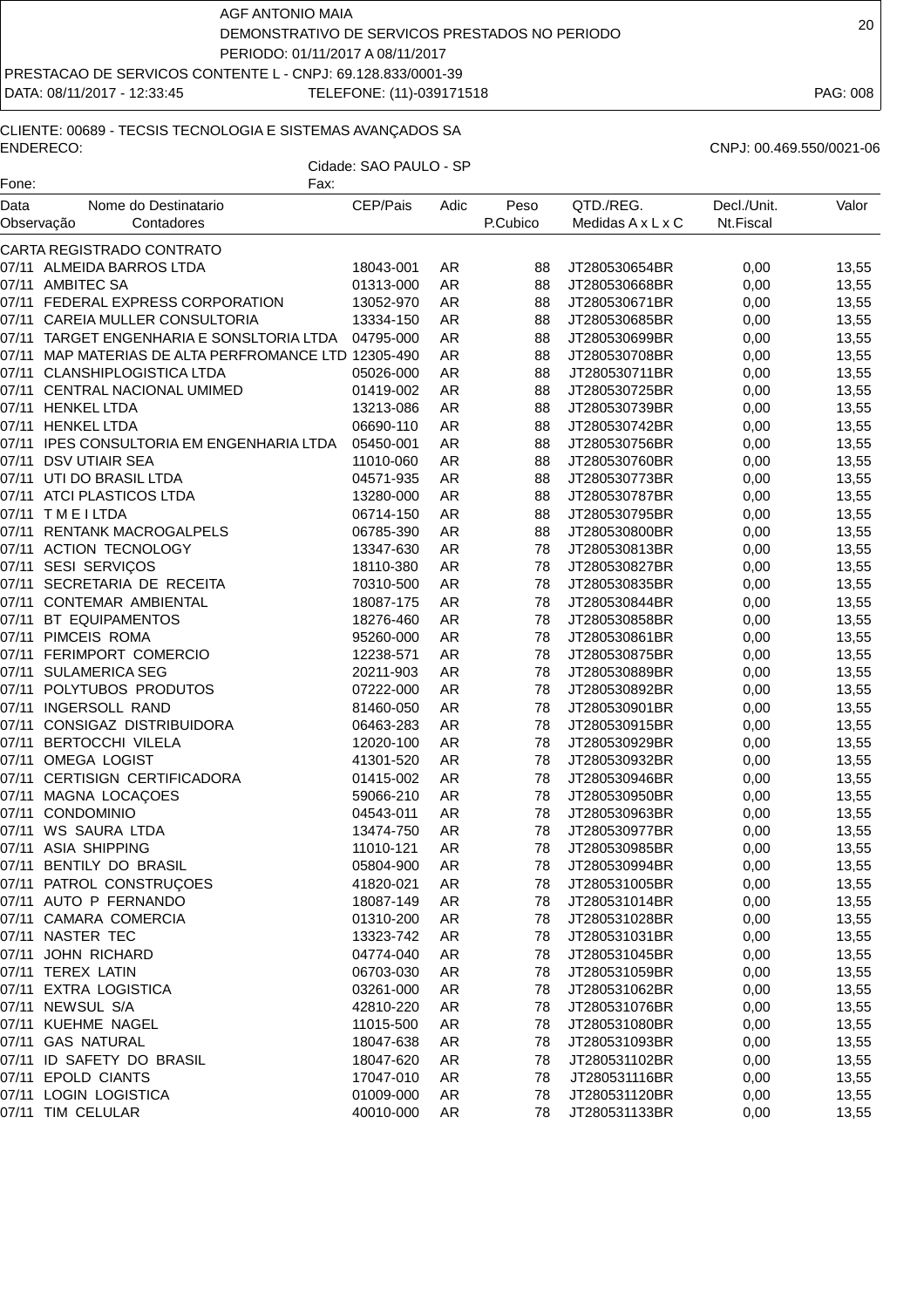DATA: 08/11/2017 - 12:33:45 TELEFONE: (11)-039171518 PAG: 008

# CLIENTE: 00689 - TECSIS TECNOLOGIA E SISTEMAS AVANÇADOS SA ENDERECO: CNPJ: 00.469.550/0021-06

| Fone:              | Fax:                                                 |                        |           |                  |                                |                          |                |
|--------------------|------------------------------------------------------|------------------------|-----------|------------------|--------------------------------|--------------------------|----------------|
| Data<br>Observação | Nome do Destinatario<br>Contadores                   | CEP/Pais               | Adic      | Peso<br>P.Cubico | QTD./REG.<br>Medidas A x L x C | Decl./Unit.<br>Nt.Fiscal | Valor          |
|                    | CARTA REGISTRADO CONTRATO                            |                        |           |                  |                                |                          |                |
|                    | 07/11 ALMEIDA BARROS LTDA                            | 18043-001              | AR        | 88               | JT280530654BR                  | 0,00                     | 13,55          |
|                    | 07/11 AMBITEC SA                                     | 01313-000              | <b>AR</b> | 88               | JT280530668BR                  | 0,00                     | 13,55          |
|                    | 07/11 FEDERAL EXPRESS CORPORATION                    | 13052-970              | AR        | 88               | JT280530671BR                  | 0,00                     | 13,55          |
|                    | 07/11 CAREIA MULLER CONSULTORIA                      | 13334-150              | <b>AR</b> | 88               | JT280530685BR                  | 0,00                     | 13,55          |
| 07/11              | TARGET ENGENHARIA E SONSLTORIA LTDA                  | 04795-000              | <b>AR</b> | 88               | JT280530699BR                  | 0,00                     | 13,55          |
|                    | 07/11 MAP MATERIAS DE ALTA PERFROMANCE LTD 12305-490 |                        | <b>AR</b> | 88               | JT280530708BR                  | 0,00                     | 13,55          |
|                    | 07/11 CLANSHIPLOGISTICA LTDA                         | 05026-000              | <b>AR</b> | 88               | JT280530711BR                  | 0,00                     | 13,55          |
|                    | 07/11 CENTRAL NACIONAL UMIMED                        | 01419-002              | AR        | 88               | JT280530725BR                  | 0,00                     | 13,55          |
|                    | 07/11 HENKEL LTDA                                    | 13213-086              | AR        | 88               | JT280530739BR                  | 0,00                     | 13,55          |
|                    | 07/11 HENKEL LTDA                                    | 06690-110              | AR        | 88               | JT280530742BR                  | 0,00                     | 13,55          |
|                    | 07/11 IPES CONSULTORIA EM ENGENHARIA LTDA            | 05450-001              | <b>AR</b> | 88               | JT280530756BR                  | 0,00                     | 13,55          |
|                    | 07/11 DSV UTIAIR SEA                                 | 11010-060              | AR        | 88               | JT280530760BR                  | 0,00                     | 13,55          |
|                    | 07/11 UTI DO BRASIL LTDA                             | 04571-935              | <b>AR</b> | 88               | JT280530773BR                  | 0,00                     | 13,55          |
| 07/11              | ATCI PLASTICOS LTDA                                  | 13280-000              | <b>AR</b> | 88               | JT280530787BR                  | 0,00                     | 13,55          |
|                    | 07/11 TMEILTDA                                       | 06714-150              | <b>AR</b> | 88               | JT280530795BR                  | 0,00                     | 13,55          |
|                    | 07/11 RENTANK MACROGALPELS                           | 06785-390              | AR        | 88               | JT280530800BR                  | 0,00                     | 13,55          |
|                    | 07/11 ACTION TECNOLOGY                               | 13347-630              | <b>AR</b> | 78               | JT280530813BR                  | 0,00                     | 13,55          |
|                    | 07/11 SESI SERVIÇOS                                  | 18110-380              | AR        | 78               | JT280530827BR                  | 0,00                     | 13,55          |
|                    | 07/11 SECRETARIA DE RECEITA                          | 70310-500              | <b>AR</b> | 78               | JT280530835BR                  | 0,00                     | 13,55          |
|                    | 07/11 CONTEMAR AMBIENTAL                             | 18087-175              | AR        | 78               | JT280530844BR                  | 0,00                     | 13,55          |
|                    | 07/11 BT EQUIPAMENTOS                                | 18276-460              | AR        | 78               | JT280530858BR                  | 0,00                     | 13,55          |
|                    | 07/11 PIMCEIS ROMA                                   | 95260-000              | <b>AR</b> | 78               | JT280530861BR                  | 0,00                     | 13,55          |
| 07/11              | FERIMPORT COMERCIO                                   | 12238-571              | <b>AR</b> | 78               | JT280530875BR                  | 0,00                     | 13,55          |
|                    | 07/11 SULAMERICA SEG                                 | 20211-903              | <b>AR</b> | 78               | JT280530889BR                  | 0,00                     | 13,55          |
|                    | 07/11 POLYTUBOS PRODUTOS                             | 07222-000              | <b>AR</b> | 78               | JT280530892BR                  | 0,00                     | 13,55          |
|                    | 07/11 INGERSOLL RAND                                 | 81460-050              | <b>AR</b> | 78               | JT280530901BR                  | 0,00                     | 13,55          |
|                    | 07/11 CONSIGAZ DISTRIBUIDORA                         | 06463-283              | <b>AR</b> | 78               | JT280530915BR                  | 0,00                     | 13,55          |
| 07/11              | <b>BERTOCCHI VILELA</b>                              | 12020-100              | <b>AR</b> | 78               | JT280530929BR                  | 0,00                     | 13,55          |
|                    | 07/11 OMEGA LOGIST                                   | 41301-520              | AR        | 78               | JT280530932BR                  | 0,00                     | 13,55          |
|                    | 07/11 CERTISIGN CERTIFICADORA                        | 01415-002              | AR        | 78               | JT280530946BR                  | 0,00                     | 13,55          |
| 07/11              | MAGNA LOCAÇOES                                       | 59066-210              | <b>AR</b> | 78               | JT280530950BR                  | 0,00                     | 13,55          |
| 07/11              | CONDOMINIO                                           | 04543-011              | <b>AR</b> | 78               | JT280530963BR                  | 0,00                     | 13,55          |
| 07/11              | WS SAURA LTDA                                        | 13474-750              | <b>AR</b> | 78               | JT280530977BR                  | 0,00                     | 13,55          |
|                    | 07/11 ASIA SHIPPING                                  | 11010-121              | AR        | 78               | JT280530985BR                  | 0,00                     | 13,55          |
|                    | 07/11 BENTILY DO BRASIL                              | 05804-900              | <b>AR</b> | 78               | JT280530994BR                  | 0,00                     | 13,55          |
|                    | 07/11 PATROL CONSTRUÇOES                             | 41820-021              | AR        | 78               | JT280531005BR                  | 0,00                     | 13,55          |
|                    | 07/11 AUTO P FERNANDO                                | 18087-149              | AR        | 78               | JT280531014BR                  | 0,00                     | 13,55          |
|                    | 07/11 CAMARA COMERCIA                                | 01310-200              | AR        | 78               | JT280531028BR                  | 0,00                     | 13,55          |
|                    | 07/11 NASTER TEC                                     | 13323-742              | AR        | 78               | JT280531031BR                  | 0,00                     | 13,55          |
|                    | 07/11 JOHN RICHARD                                   | 04774-040              | AR        | 78               | JT280531045BR                  | 0,00                     | 13,55          |
|                    | 07/11 TEREX LATIN                                    | 06703-030              | AR        | 78               | JT280531059BR                  | 0,00                     | 13,55          |
|                    | 07/11 EXTRA LOGISTICA                                |                        |           | 78               |                                |                          |                |
|                    | 07/11 NEWSUL S/A                                     | 03261-000              | AR        |                  | JT280531062BR                  | 0,00                     | 13,55          |
|                    | 07/11 KUEHME NAGEL                                   | 42810-220              | AR        | 78               | JT280531076BR<br>JT280531080BR | 0,00                     | 13,55          |
|                    |                                                      | 11015-500              | AR        | 78               |                                | 0,00                     | 13,55          |
|                    | 07/11 GAS NATURAL<br>07/11 ID SAFETY DO BRASIL       | 18047-638              | AR        | 78               | JT280531093BR                  | 0,00                     | 13,55          |
|                    | 07/11 EPOLD CIANTS                                   | 18047-620<br>17047-010 | AR        | 78               | JT280531102BR                  | 0,00                     | 13,55          |
|                    | 07/11 LOGIN LOGISTICA                                | 01009-000              | AR<br>AR  | 78<br>78         | JT280531116BR<br>JT280531120BR | 0,00<br>0,00             | 13,55<br>13,55 |
|                    | 07/11 TIM CELULAR                                    | 40010-000              | AR        | 78               | JT280531133BR                  |                          |                |
|                    |                                                      |                        |           |                  |                                | 0,00                     | 13,55          |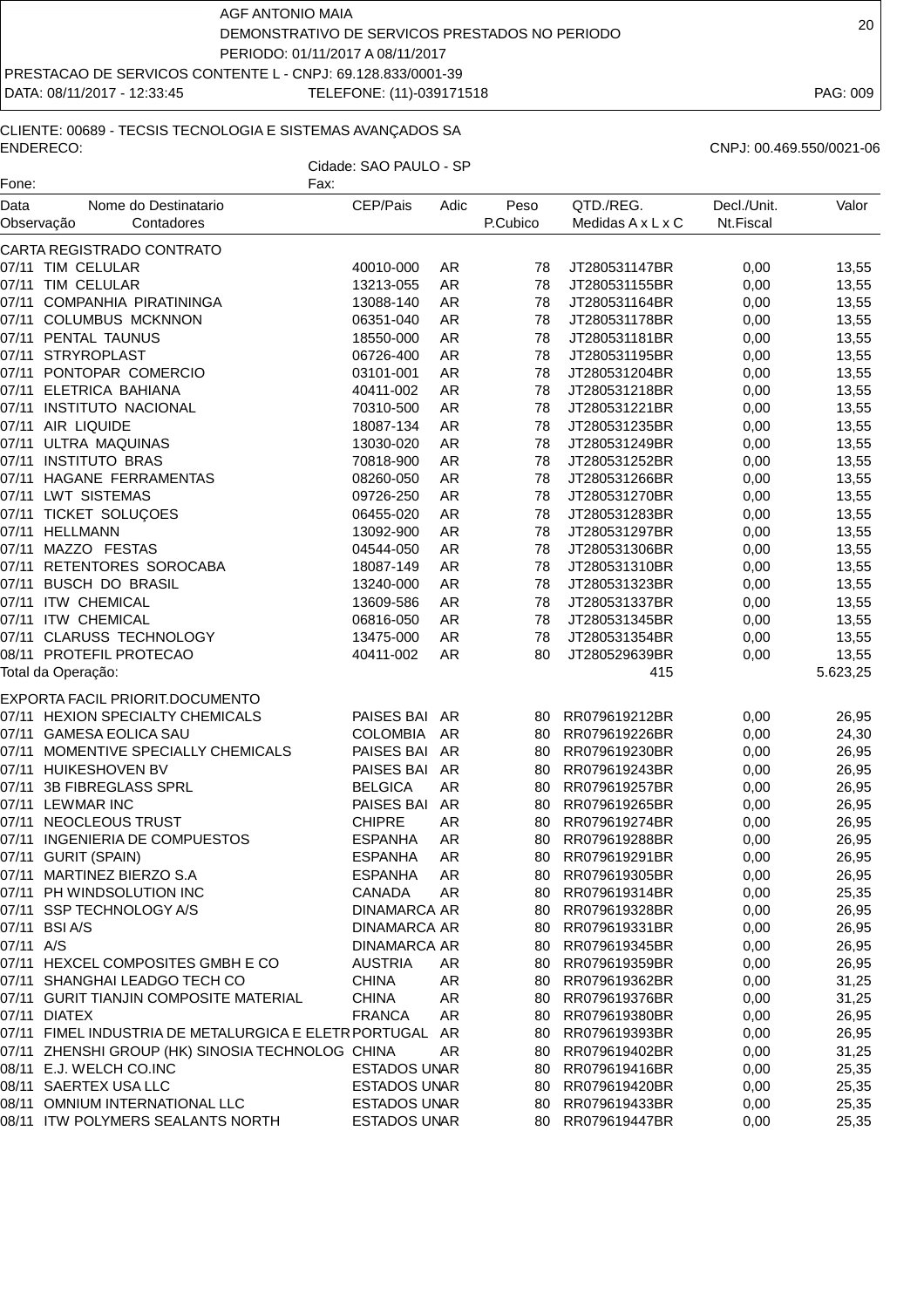DATA: 08/11/2017 - 12:33:45 TELEFONE: (11)-039171518 PAG: 009

# CLIENTE: 00689 - TECSIS TECNOLOGIA E SISTEMAS AVANÇADOS SA ENDERECO: CNPJ: 00.469.550/0021-06

| CNPJ: 00.469.550/0021-0 |  |
|-------------------------|--|
|                         |  |

| Fone:              | Fax:                                                  |                     |      |                  |                                |                          |          |
|--------------------|-------------------------------------------------------|---------------------|------|------------------|--------------------------------|--------------------------|----------|
| Data<br>Observação | Nome do Destinatario<br>Contadores                    | CEP/Pais            | Adic | Peso<br>P.Cubico | QTD./REG.<br>Medidas A x L x C | Decl./Unit.<br>Nt.Fiscal | Valor    |
|                    | CARTA REGISTRADO CONTRATO                             |                     |      |                  |                                |                          |          |
|                    | 07/11 TIM CELULAR                                     | 40010-000           | AR   | 78               | JT280531147BR                  | 0,00                     | 13,55    |
|                    | 07/11 TIM CELULAR                                     | 13213-055           | AR   | 78               | JT280531155BR                  | 0,00                     | 13,55    |
|                    | 07/11 COMPANHIA PIRATININGA                           | 13088-140           | AR   | 78               | JT280531164BR                  | 0,00                     | 13,55    |
|                    | 07/11 COLUMBUS MCKNNON                                | 06351-040           | AR   | 78               | JT280531178BR                  | 0,00                     | 13,55    |
|                    | 07/11 PENTAL TAUNUS                                   | 18550-000           | AR   | 78               | JT280531181BR                  | 0,00                     | 13,55    |
|                    | 07/11 STRYROPLAST                                     | 06726-400           | AR   | 78               | JT280531195BR                  | 0,00                     | 13,55    |
|                    | 07/11 PONTOPAR COMERCIO                               | 03101-001           | AR   | 78               | JT280531204BR                  | 0,00                     | 13,55    |
|                    | 07/11 ELETRICA BAHIANA                                | 40411-002           | AR   | 78               | JT280531218BR                  | 0,00                     | 13,55    |
| 07/11              | <b>INSTITUTO NACIONAL</b>                             | 70310-500           | AR   | 78               | JT280531221BR                  | 0,00                     | 13,55    |
| 07/11              | AIR LIQUIDE                                           | 18087-134           | AR   | 78               | JT280531235BR                  | 0,00                     | 13,55    |
|                    | 07/11 ULTRA MAQUINAS                                  | 13030-020           | AR   | 78               | JT280531249BR                  | 0,00                     | 13,55    |
|                    | 07/11 INSTITUTO BRAS                                  | 70818-900           | AR   | 78               | JT280531252BR                  | 0,00                     | 13,55    |
|                    | 07/11 HAGANE FERRAMENTAS                              | 08260-050           | AR   | 78               | JT280531266BR                  | 0,00                     | 13,55    |
| 07/11              | <b>LWT SISTEMAS</b>                                   | 09726-250           | AR   | 78               | JT280531270BR                  | 0,00                     | 13,55    |
|                    | 07/11 TICKET SOLUÇOES                                 | 06455-020           | AR   | 78               | JT280531283BR                  | 0,00                     | 13,55    |
|                    | 07/11 HELLMANN                                        | 13092-900           | AR   | 78               | JT280531297BR                  | 0,00                     | 13,55    |
|                    | 07/11 MAZZO FESTAS                                    | 04544-050           | AR   | 78               | JT280531306BR                  | 0,00                     | 13,55    |
| 07/11              | RETENTORES SOROCABA                                   | 18087-149           | AR   | 78               | JT280531310BR                  | 0,00                     | 13,55    |
| 07/11              | <b>BUSCH DO BRASIL</b>                                | 13240-000           | AR   | 78               | JT280531323BR                  | 0,00                     | 13,55    |
|                    | 07/11 ITW CHEMICAL                                    | 13609-586           | AR   | 78               | JT280531337BR                  | 0,00                     | 13,55    |
|                    | 07/11 ITW CHEMICAL                                    | 06816-050           | AR   | 78               | JT280531345BR                  | 0,00                     | 13,55    |
|                    | 07/11 CLARUSS TECHNOLOGY                              | 13475-000           | AR   | 78               | JT280531354BR                  | 0,00                     | 13,55    |
|                    | 08/11 PROTEFIL PROTECAO                               | 40411-002           | AR   | 80               | JT280529639BR                  | 0,00                     | 13,55    |
|                    | Total da Operação:                                    |                     |      |                  | 415                            |                          | 5.623,25 |
|                    | EXPORTA FACIL PRIORIT.DOCUMENTO                       |                     |      |                  |                                |                          |          |
|                    | 07/11 HEXION SPECIALTY CHEMICALS                      | PAISES BAI AR       |      | 80               | RR079619212BR                  | 0,00                     | 26,95    |
|                    | 07/11 GAMESA EOLICA SAU                               | <b>COLOMBIA</b>     | AR   | 80               | RR079619226BR                  | 0,00                     | 24,30    |
|                    | 07/11 MOMENTIVE SPECIALLY CHEMICALS                   | PAISES BAI AR       |      | 80               | RR079619230BR                  | 0,00                     | 26,95    |
|                    | 07/11 HUIKESHOVEN BV                                  | PAISES BAI AR       |      | 80               | RR079619243BR                  | 0,00                     | 26,95    |
| 07/11              | 3B FIBREGLASS SPRL                                    | <b>BELGICA</b>      | AR   | 80               | RR079619257BR                  | 0,00                     | 26,95    |
| 07/11              | <b>LEWMAR INC</b>                                     | PAISES BAI          | AR   | 80               | RR079619265BR                  | 0,00                     | 26,95    |
|                    | 07/11 NEOCLEOUS TRUST                                 | <b>CHIPRE</b>       | AR   | 80               | RR079619274BR                  | 0,00                     | 26,95    |
|                    | 07/11 INGENIERIA DE COMPUESTOS                        | <b>ESPANHA</b>      | AR   | 80               | RR079619288BR                  | 0,00                     | 26,95    |
|                    | 07/11 GURIT (SPAIN)                                   | <b>ESPANHA</b>      | AR   | 80               | RR079619291BR                  | 0,00                     | 26,95    |
|                    | 07/11 MARTINEZ BIERZO S.A                             | ESPANHA             | AR.  | 80               | RR079619305BR                  | 0,00                     | 26,95    |
|                    | 07/11 PH WINDSOLUTION INC                             | CANADA              | AR   | 80               | RR079619314BR                  | 0,00                     | 25,35    |
|                    | 07/11 SSP TECHNOLOGY A/S                              | <b>DINAMARCA AR</b> |      | 80               | RR079619328BR                  | 0,00                     | 26,95    |
|                    | 07/11 BSI A/S                                         | <b>DINAMARCA AR</b> |      | 80               | RR079619331BR                  | 0,00                     | 26,95    |
| 07/11 A/S          |                                                       | <b>DINAMARCA AR</b> |      | 80               | RR079619345BR                  | 0,00                     | 26,95    |
|                    | 07/11 HEXCEL COMPOSITES GMBH E CO                     | <b>AUSTRIA</b>      | AR.  | 80               | RR079619359BR                  | 0,00                     | 26,95    |
|                    | 07/11 SHANGHAI LEADGO TECH CO                         | <b>CHINA</b>        | AR   | 80               | RR079619362BR                  | 0,00                     | 31,25    |
|                    | 07/11 GURIT TIANJIN COMPOSITE MATERIAL                | <b>CHINA</b>        | AR   | 80               | RR079619376BR                  | 0,00                     | 31,25    |
|                    | 07/11 DIATEX                                          | <b>FRANCA</b>       | AR   | 80               | RR079619380BR                  | 0,00                     | 26,95    |
|                    | 07/11 FIMEL INDUSTRIA DE METALURGICA E ELETR PORTUGAL |                     | AR   | 80               | RR079619393BR                  | 0,00                     | 26,95    |
|                    | 07/11 ZHENSHI GROUP (HK) SINOSIA TECHNOLOG CHINA      |                     | AR   | 80               | RR079619402BR                  | 0,00                     | 31,25    |
|                    | 08/11 E.J. WELCH CO.INC                               | <b>ESTADOS UNAR</b> |      | 80               | RR079619416BR                  | 0,00                     | 25,35    |
|                    | 08/11 SAERTEX USA LLC                                 | <b>ESTADOS UNAR</b> |      | 80               | RR079619420BR                  | 0,00                     | 25,35    |
|                    | 08/11 OMNIUM INTERNATIONAL LLC                        | <b>ESTADOS UNAR</b> |      | 80               | RR079619433BR                  | 0,00                     | 25,35    |
|                    | 08/11 ITW POLYMERS SEALANTS NORTH                     | <b>ESTADOS UNAR</b> |      | 80               | RR079619447BR                  | 0,00                     | 25,35    |
|                    |                                                       |                     |      |                  |                                |                          |          |